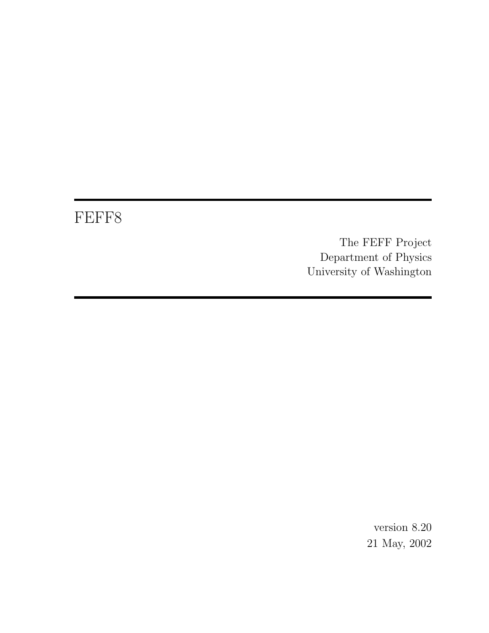# FEFF8

The FEFF Project Department of Physics University of Washington

> version 8.20 21 May, 2002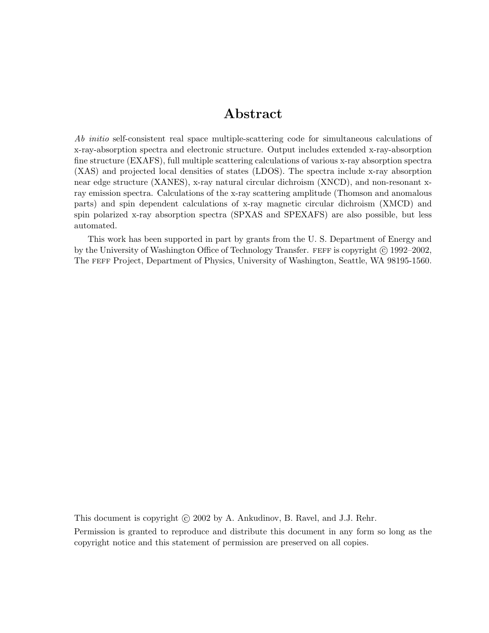## Abstract

Ab initio self-consistent real space multiple-scattering code for simultaneous calculations of x-ray-absorption spectra and electronic structure. Output includes extended x-ray-absorption fine structure (EXAFS), full multiple scattering calculations of various x-ray absorption spectra (XAS) and projected local densities of states (LDOS). The spectra include x-ray absorption near edge structure (XANES), x-ray natural circular dichroism (XNCD), and non-resonant xray emission spectra. Calculations of the x-ray scattering amplitude (Thomson and anomalous parts) and spin dependent calculations of x-ray magnetic circular dichroism (XMCD) and spin polarized x-ray absorption spectra (SPXAS and SPEXAFS) are also possible, but less automated.

This work has been supported in part by grants from the U. S. Department of Energy and by the University of Washington Office of Technology Transfer. FEFF is copyright  $\odot$  1992–2002, The feff Project, Department of Physics, University of Washington, Seattle, WA 98195-1560.

This document is copyright  $\odot$  2002 by A. Ankudinov, B. Ravel, and J.J. Rehr.

Permission is granted to reproduce and distribute this document in any form so long as the copyright notice and this statement of permission are preserved on all copies.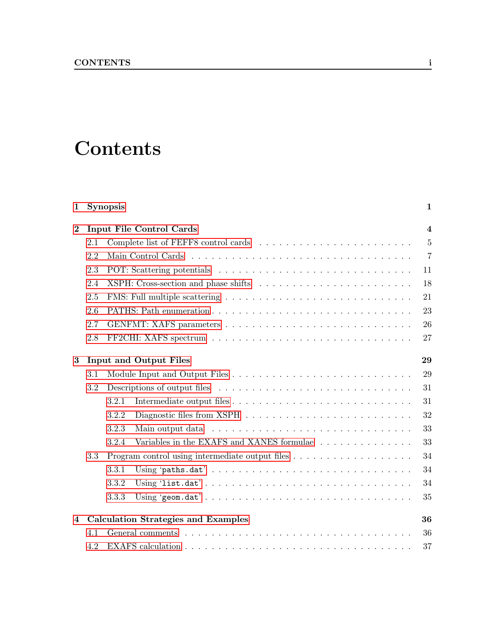# **Contents**

## [1 Synopsis](#page-5-0) 1

| $\bf{2}$       |     | $\overline{\mathbf{4}}$<br><b>Input File Control Cards</b>                                           |                |  |  |  |  |  |  |  |  |  |  |  |
|----------------|-----|------------------------------------------------------------------------------------------------------|----------------|--|--|--|--|--|--|--|--|--|--|--|
|                | 2.1 |                                                                                                      | $\overline{5}$ |  |  |  |  |  |  |  |  |  |  |  |
|                | 2.2 |                                                                                                      | $\overline{7}$ |  |  |  |  |  |  |  |  |  |  |  |
|                | 2.3 | 11                                                                                                   |                |  |  |  |  |  |  |  |  |  |  |  |
|                | 2.4 | 18                                                                                                   |                |  |  |  |  |  |  |  |  |  |  |  |
|                | 2.5 |                                                                                                      | 21             |  |  |  |  |  |  |  |  |  |  |  |
|                | 2.6 |                                                                                                      | 23             |  |  |  |  |  |  |  |  |  |  |  |
|                | 2.7 |                                                                                                      | 26             |  |  |  |  |  |  |  |  |  |  |  |
|                | 2.8 | FF2CHI: XAFS spectrum $\ldots \ldots \ldots \ldots \ldots \ldots \ldots \ldots \ldots \ldots \ldots$ | 27             |  |  |  |  |  |  |  |  |  |  |  |
| $\bf{3}$       |     | <b>Input and Output Files</b>                                                                        | 29             |  |  |  |  |  |  |  |  |  |  |  |
|                | 3.1 |                                                                                                      | 29             |  |  |  |  |  |  |  |  |  |  |  |
|                | 3.2 |                                                                                                      | 31             |  |  |  |  |  |  |  |  |  |  |  |
|                |     | 3.2.1                                                                                                | 31             |  |  |  |  |  |  |  |  |  |  |  |
|                |     | 3.2.2                                                                                                | 32             |  |  |  |  |  |  |  |  |  |  |  |
|                |     | 3.2.3                                                                                                | 33             |  |  |  |  |  |  |  |  |  |  |  |
|                |     | Variables in the EXAFS and XANES formulae<br>3.2.4                                                   | 33             |  |  |  |  |  |  |  |  |  |  |  |
|                | 3.3 |                                                                                                      | 34             |  |  |  |  |  |  |  |  |  |  |  |
|                |     | 3.3.1                                                                                                | 34             |  |  |  |  |  |  |  |  |  |  |  |
|                |     | 3.3.2                                                                                                | 34             |  |  |  |  |  |  |  |  |  |  |  |
|                |     | 3.3.3                                                                                                | 35             |  |  |  |  |  |  |  |  |  |  |  |
| $\overline{4}$ |     | <b>Calculation Strategies and Examples</b>                                                           | 36             |  |  |  |  |  |  |  |  |  |  |  |
|                | 4.1 |                                                                                                      | 36             |  |  |  |  |  |  |  |  |  |  |  |
|                | 4.2 |                                                                                                      | 37             |  |  |  |  |  |  |  |  |  |  |  |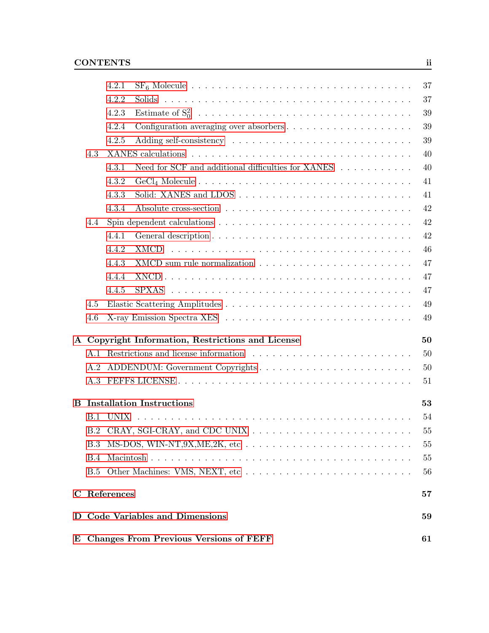|             |            | E Changes From Previous Versions of FEFF<br>61 |                                                    |          |  |  |  |  |  |  |  |  |
|-------------|------------|------------------------------------------------|----------------------------------------------------|----------|--|--|--|--|--|--|--|--|
| D.          |            |                                                | <b>Code Variables and Dimensions</b>               | 59       |  |  |  |  |  |  |  |  |
| $\mathbf C$ |            | References                                     |                                                    | 57       |  |  |  |  |  |  |  |  |
|             | <b>B.5</b> |                                                | Other Machines: VMS, NEXT, etc                     | 56       |  |  |  |  |  |  |  |  |
|             | <b>B.4</b> |                                                |                                                    | 55       |  |  |  |  |  |  |  |  |
|             | <b>B.3</b> |                                                |                                                    | 55       |  |  |  |  |  |  |  |  |
|             | B.2        |                                                |                                                    | 55       |  |  |  |  |  |  |  |  |
|             | B.1        | <b>UNIX</b>                                    |                                                    | 54       |  |  |  |  |  |  |  |  |
| B           |            |                                                | <b>Installation Instructions</b>                   | 53       |  |  |  |  |  |  |  |  |
|             | A.3        |                                                |                                                    | 51       |  |  |  |  |  |  |  |  |
|             | A.2        |                                                |                                                    | 50       |  |  |  |  |  |  |  |  |
|             |            |                                                |                                                    | 50       |  |  |  |  |  |  |  |  |
|             |            |                                                | A Copyright Information, Restrictions and License  | 50       |  |  |  |  |  |  |  |  |
|             |            |                                                |                                                    |          |  |  |  |  |  |  |  |  |
|             | 4.6        |                                                |                                                    | 49       |  |  |  |  |  |  |  |  |
|             | 4.5        |                                                |                                                    | 49       |  |  |  |  |  |  |  |  |
|             |            | 4.4.4<br>4.4.5                                 |                                                    | 47       |  |  |  |  |  |  |  |  |
|             |            | 4.4.3                                          |                                                    | 47<br>47 |  |  |  |  |  |  |  |  |
|             |            | 4.4.2                                          |                                                    | 46       |  |  |  |  |  |  |  |  |
|             |            | 4.4.1                                          |                                                    | 42       |  |  |  |  |  |  |  |  |
|             | 4.4        |                                                |                                                    | 42       |  |  |  |  |  |  |  |  |
|             |            | 4.3.4                                          |                                                    | 42       |  |  |  |  |  |  |  |  |
|             |            | 4.3.3                                          |                                                    | 41       |  |  |  |  |  |  |  |  |
|             |            | 4.3.2                                          |                                                    | 41       |  |  |  |  |  |  |  |  |
|             |            | 4.3.1                                          | Need for SCF and additional difficulties for XANES | 40       |  |  |  |  |  |  |  |  |
|             | 4.3        |                                                |                                                    | 40       |  |  |  |  |  |  |  |  |
|             |            | 4.2.5                                          |                                                    | 39       |  |  |  |  |  |  |  |  |
|             |            | 4.2.4                                          |                                                    | 39       |  |  |  |  |  |  |  |  |
|             |            | 4.2.3                                          |                                                    | 39       |  |  |  |  |  |  |  |  |
|             |            | 4.2.2                                          |                                                    | 37       |  |  |  |  |  |  |  |  |
|             |            | 4.2.1                                          |                                                    | 37       |  |  |  |  |  |  |  |  |
|             |            |                                                |                                                    |          |  |  |  |  |  |  |  |  |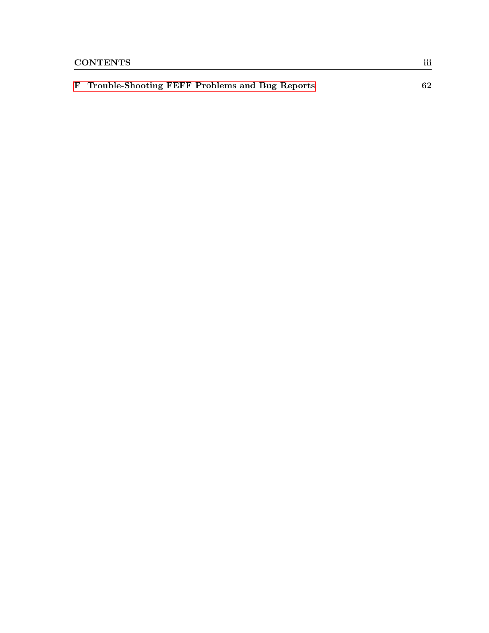| F Trouble-Shooting FEFF Problems and Bug Reports |  |  | 62 |  |
|--------------------------------------------------|--|--|----|--|
|                                                  |  |  |    |  |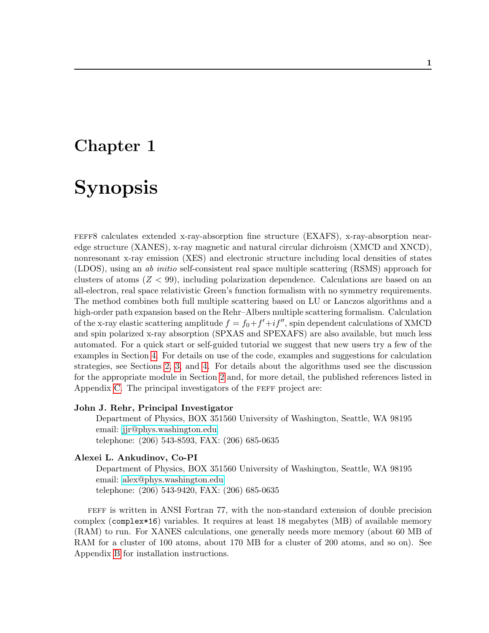# <span id="page-5-0"></span>Chapter 1

# Synopsis

feff8 calculates extended x-ray-absorption fine structure (EXAFS), x-ray-absorption nearedge structure (XANES), x-ray magnetic and natural circular dichroism (XMCD and XNCD), nonresonant x-ray emission (XES) and electronic structure including local densities of states (LDOS), using an ab initio self-consistent real space multiple scattering (RSMS) approach for clusters of atoms  $(Z < 99)$ , including polarization dependence. Calculations are based on an all-electron, real space relativistic Green's function formalism with no symmetry requirements. The method combines both full multiple scattering based on LU or Lanczos algorithms and a high-order path expansion based on the Rehr–Albers multiple scattering formalism. Calculation of the x-ray elastic scattering amplitude  $f = f_0 + f' + if''$ , spin dependent calculations of XMCD and spin polarized x-ray absorption (SPXAS and SPEXAFS) are also available, but much less automated. For a quick start or self-guided tutorial we suggest that new users try a few of the examples in Section [4.](#page-40-0) For details on use of the code, examples and suggestions for calculation strategies, see Sections [2,](#page-8-0) [3,](#page-33-0) and [4.](#page-40-0) For details about the algorithms used see the discussion for the appropriate module in Section [2](#page-8-0) and, for more detail, the published references listed in Appendix [C.](#page-61-0) The principal investigators of the FEFF project are:

#### John J. Rehr, Principal Investigator

Department of Physics, BOX 351560 University of Washington, Seattle, WA 98195 email: [jjr@phys.washington.edu](mailto:jjr@phys.washington.edu) telephone: (206) 543-8593, FAX: (206) 685-0635

### Alexei L. Ankudinov, Co-PI

Department of Physics, BOX 351560 University of Washington, Seattle, WA 98195 email: [alex@phys.washington.edu](mailto:alex@phys.washington.edu) telephone: (206) 543-9420, FAX: (206) 685-0635

feff is written in ANSI Fortran 77, with the non-standard extension of double precision complex (complex\*16) variables. It requires at least 18 megabytes (MB) of available memory (RAM) to run. For XANES calculations, one generally needs more memory (about 60 MB of RAM for a cluster of 100 atoms, about 170 MB for a cluster of 200 atoms, and so on). See Appendix [B](#page-57-0) for installation instructions.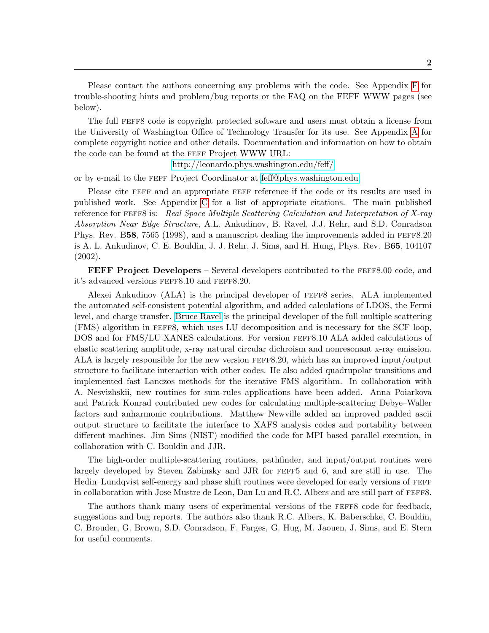Please contact the authors concerning any problems with the code. See Appendix [F](#page-66-0) for trouble-shooting hints and problem/bug reports or the FAQ on the FEFF WWW pages (see below).

The full feff8 code is copyright protected software and users must obtain a license from the University of Washington Office of Technology Transfer for its use. See Appendix [A](#page-54-0) for complete copyright notice and other details. Documentation and information on how to obtain the code can be found at the FEFF Project WWW URL:

<http://leonardo.phys.washington.edu/feff/>

or by e-mail to the feff Project Coordinator at [feff@phys.washington.edu.](mailto:feff@phys.washington.edu)

Please cite FEFF and an appropriate FEFF reference if the code or its results are used in published work. See Appendix [C](#page-61-0) for a list of appropriate citations. The main published reference for FEFF8 is: Real Space Multiple Scattering Calculation and Interpretation of X-ray Absorption Near Edge Structure, A.L. Ankudinov, B. Ravel, J.J. Rehr, and S.D. Conradson Phys. Rev. B58, 7565 (1998), and a manuscript dealing the improvements added in FEFF8.20 is A. L. Ankudinov, C. E. Bouldin, J. J. Rehr, J. Sims, and H. Hung, Phys. Rev. B65, 104107 (2002).

**FEFF Project Developers** – Several developers contributed to the FEFF8.00 code, and it's advanced versions feff8.10 and feff8.20.

Alexei Ankudinov (ALA) is the principal developer of feff8 series. ALA implemented the automated self-consistent potential algorithm, and added calculations of LDOS, the Fermi level, and charge transfer. [Bruce Ravel](http://feff.phys.washington.edu/~ravel/) is the principal developer of the full multiple scattering (FMS) algorithm in feff8, which uses LU decomposition and is necessary for the SCF loop, DOS and for FMS/LU XANES calculations. For version feff8.10 ALA added calculations of elastic scattering amplitude, x-ray natural circular dichroism and nonresonant x-ray emission. ALA is largely responsible for the new version feff8.20, which has an improved input/output structure to facilitate interaction with other codes. He also added quadrupolar transitions and implemented fast Lanczos methods for the iterative FMS algorithm. In collaboration with A. Nesvizhskii, new routines for sum-rules applications have been added. Anna Poiarkova and Patrick Konrad contributed new codes for calculating multiple-scattering Debye–Waller factors and anharmonic contributions. Matthew Newville added an improved padded ascii output structure to facilitate the interface to XAFS analysis codes and portability between different machines. Jim Sims (NIST) modified the code for MPI based parallel execution, in collaboration with C. Bouldin and JJR.

The high-order multiple-scattering routines, pathfinder, and input/output routines were largely developed by Steven Zabinsky and JJR for feff5 and 6, and are still in use. The Hedin–Lundqvist self-energy and phase shift routines were developed for early versions of feff in collaboration with Jose Mustre de Leon, Dan Lu and R.C. Albers and are still part of feff8.

The authors thank many users of experimental versions of the feff8 code for feedback, suggestions and bug reports. The authors also thank R.C. Albers, K. Baberschke, C. Bouldin, C. Brouder, G. Brown, S.D. Conradson, F. Farges, G. Hug, M. Jaouen, J. Sims, and E. Stern for useful comments.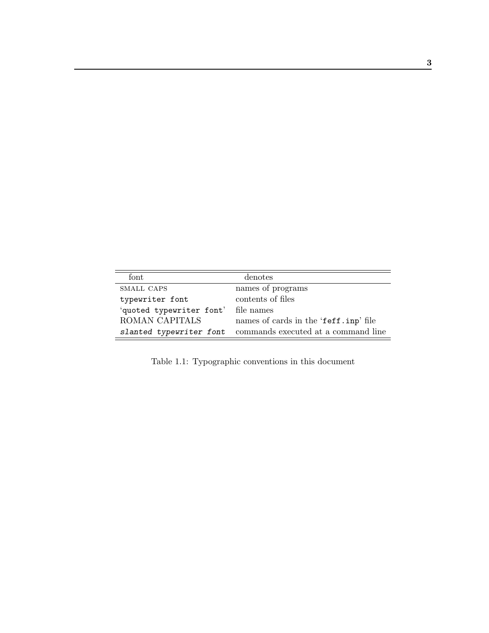| font                     | denotes                               |
|--------------------------|---------------------------------------|
| SMALL CAPS               | names of programs                     |
| typewriter font          | contents of files                     |
| 'quoted typewriter font' | file names                            |
| ROMAN CAPITALS           | names of cards in the 'feff.inp' file |
| slanted typewriter font  | commands executed at a command line   |

Table 1.1: Typographic conventions in this document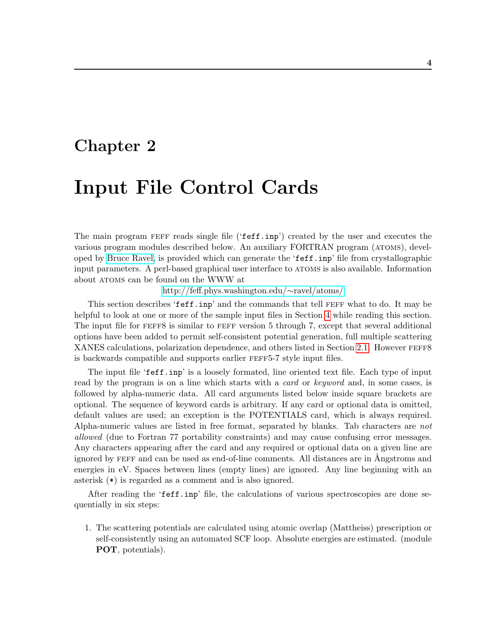# <span id="page-8-0"></span>Chapter 2

# Input File Control Cards

The main program FEFF reads single file ('feff.inp') created by the user and executes the various program modules described below. An auxiliary FORTRAN program (atoms), developed by [Bruce Ravel,](http://feff.phys.washington.edu/~ravel/) is provided which can generate the 'feff.inp' file from crystallographic input parameters. A perl-based graphical user interface to ATOMS is also available. Information about atoms can be found on the WWW at

[http://feff.phys.washington.edu/](http://feff.phys.washington.edu/~ravel/atoms/)∼ravel/atoms/

This section describes 'feff.inp' and the commands that tell FEFF what to do. It may be helpful to look at one or more of the sample input files in Section [4](#page-40-0) while reading this section. The input file for FEFF8 is similar to FEFF version 5 through 7, except that several additional options have been added to permit self-consistent potential generation, full multiple scattering XANES calculations, polarization dependence, and others listed in Section [2.1.](#page-9-0) However FEFF8 is backwards compatible and supports earlier feff5-7 style input files.

The input file 'feff.inp' is a loosely formated, line oriented text file. Each type of input read by the program is on a line which starts with a card or keyword and, in some cases, is followed by alpha-numeric data. All card arguments listed below inside square brackets are optional. The sequence of keyword cards is arbitrary. If any card or optional data is omitted, default values are used; an exception is the POTENTIALS card, which is always required. Alpha-numeric values are listed in free format, separated by blanks. Tab characters are not allowed (due to Fortran 77 portability constraints) and may cause confusing error messages. Any characters appearing after the card and any required or optional data on a given line are ignored by FEFF and can be used as end-of-line comments. All distances are in Angstroms and energies in eV. Spaces between lines (empty lines) are ignored. Any line beginning with an asterisk (\*) is regarded as a comment and is also ignored.

After reading the 'feff.inp' file, the calculations of various spectroscopies are done sequentially in six steps:

1. The scattering potentials are calculated using atomic overlap (Mattheiss) prescription or self-consistently using an automated SCF loop. Absolute energies are estimated. (module POT, potentials).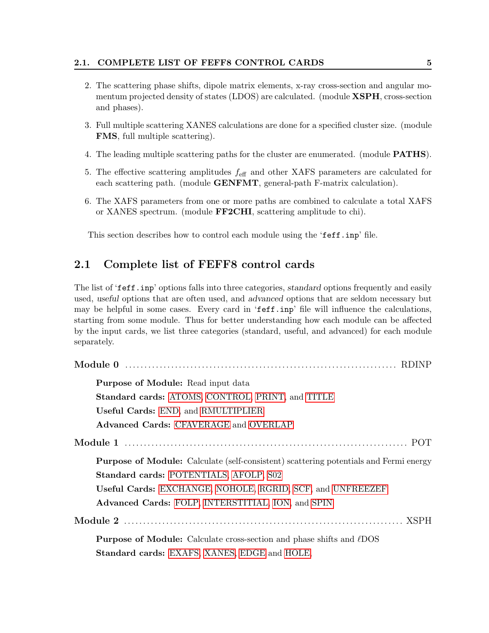#### 2.1. COMPLETE LIST OF FEFF8 CONTROL CARDS 5

- 2. The scattering phase shifts, dipole matrix elements, x-ray cross-section and angular momentum projected density of states (LDOS) are calculated. (module **XSPH**, cross-section and phases).
- 3. Full multiple scattering XANES calculations are done for a specified cluster size. (module FMS, full multiple scattering).
- 4. The leading multiple scattering paths for the cluster are enumerated. (module PATHS).
- 5. The effective scattering amplitudes  $f_{\text{eff}}$  and other XAFS parameters are calculated for each scattering path. (module **GENFMT**, general-path F-matrix calculation).
- 6. The XAFS parameters from one or more paths are combined to calculate a total XAFS or XANES spectrum. (module FF2CHI, scattering amplitude to chi).

This section describes how to control each module using the 'feff.inp' file.

## <span id="page-9-0"></span>2.1 Complete list of FEFF8 control cards

The list of 'feff.inp' options falls into three categories, standard options frequently and easily used, useful options that are often used, and advanced options that are seldom necessary but may be helpful in some cases. Every card in 'feff.inp' file will influence the calculations, starting from some module. Thus for better understanding how each module can be affected by the input cards, we list three categories (standard, useful, and advanced) for each module separately.

| <b>Purpose of Module:</b> Read input data                                                    |
|----------------------------------------------------------------------------------------------|
| <b>Standard cards: ATOMS, CONTROL, PRINT, and TITLE</b>                                      |
| Useful Cards: END, and RMULTIPLIER                                                           |
| <b>Advanced Cards: CFAVERAGE and OVERLAP</b>                                                 |
|                                                                                              |
| <b>Purpose of Module:</b> Calculate (self-consistent) scattering potentials and Fermi energy |
| Standard cards: POTENTIALS, AFOLP, S02                                                       |
| Useful Cards: EXCHANGE, NOHOLE, RGRID, SCF, and UNFREEZEF                                    |
| Advanced Cards: FOLP, INTERSTITIAL, ION, and SPIN                                            |
|                                                                                              |
| <b>Purpose of Module:</b> Calculate cross-section and phase shifts and $\ell$ DOS            |
| Standard cards: EXAFS, XANES, EDGE and HOLE,                                                 |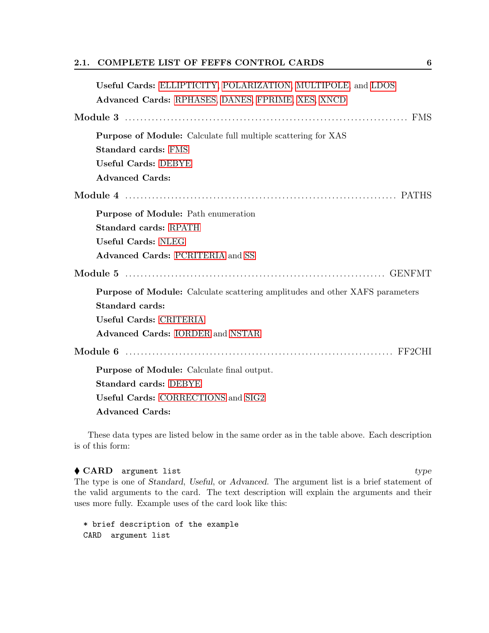### 2.1. COMPLETE LIST OF FEFF8 CONTROL CARDS 6

These data types are listed below in the same order as in the table above. Each description is of this form:

 $\blacklozenge$  CARD argument list type The type is one of Standard, Useful, or Advanced. The argument list is a brief statement of the valid arguments to the card. The text description will explain the arguments and their uses more fully. Example uses of the card look like this:

\* brief description of the example CARD argument list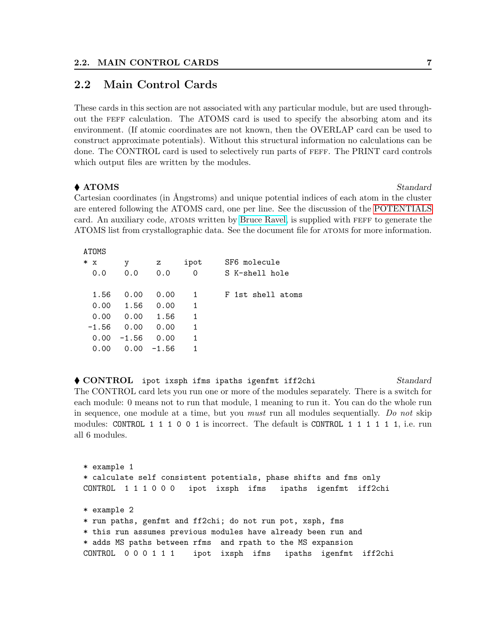### <span id="page-11-0"></span>2.2 Main Control Cards

These cards in this section are not associated with any particular module, but are used throughout the feff calculation. The ATOMS card is used to specify the absorbing atom and its environment. (If atomic coordinates are not known, then the OVERLAP card can be used to construct approximate potentials). Without this structural information no calculations can be done. The CONTROL card is used to selectively run parts of feff. The PRINT card controls which output files are written by the modules.

### ◆ ATOMS Standard

Cartesian coordinates (in Ångstroms) and unique potential indices of each atom in the cluster are entered following the ATOMS card, one per line. See the discussion of the [POTENTIALS](#page-17-0) card. An auxiliary code, atoms written by [Bruce Ravel,](http://feff.phys.washington.edu/~ravel/) is supplied with feff to generate the ATOMS list from crystallographic data. See the document file for atoms for more information.

ATOMS

| $\ast$<br>х<br>0.0 | у<br>0.0 | z<br>0.0 | ipot<br>0 | SF6 molecule<br>S K-shell hole |
|--------------------|----------|----------|-----------|--------------------------------|
| 1.56               | 0.00     | 0.00     | 1         | F 1st shell atoms              |
| 0.00               | 1.56     | 0.00     | 1         |                                |
| 0.00               | 0.00     | 1.56     | 1         |                                |
| $-1.56$            | 0.00     | 0.00     | 1         |                                |
| 0.00               | $-1.56$  | 0.00     | 1         |                                |
| 0.00               | 0.00     | $-1.56$  | 1         |                                |

◆ CONTROL ipot ixsph ifms ipaths igenfmt iff2chi Standard The CONTROL card lets you run one or more of the modules separately. There is a switch for each module: 0 means not to run that module, 1 meaning to run it. You can do the whole run in sequence, one module at a time, but you must run all modules sequentially. Do not skip modules: CONTROL 1 1 1 0 0 1 is incorrect. The default is CONTROL 1 1 1 1 1 1, i.e. run all 6 modules.

\* example 1 \* calculate self consistent potentials, phase shifts and fms only CONTROL 1 1 1 0 0 0 ipot ixsph ifms ipaths igenfmt iff2chi \* example 2 \* run paths, genfmt and ff2chi; do not run pot, xsph, fms \* this run assumes previous modules have already been run and \* adds MS paths between rfms and rpath to the MS expansion CONTROL 0 0 0 1 1 1 ipot ixsph ifms ipaths igenfmt iff2chi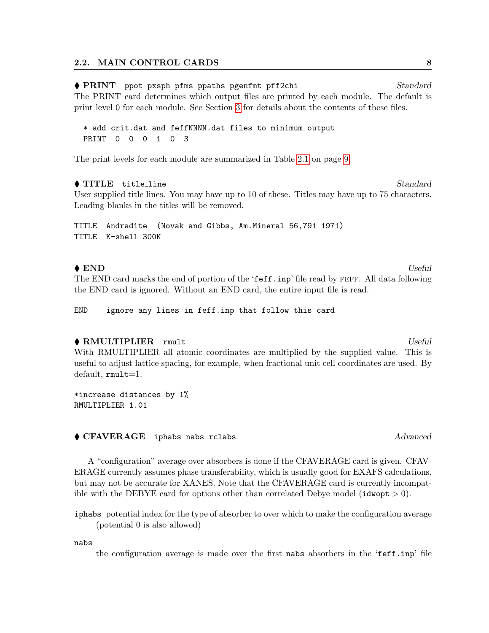### ◆ PRINT ppot pxsph pfms ppaths pgenfmt pff2chi Standard The PRINT card determines which output files are printed by each module. The default is print level 0 for each module. See Section [3](#page-33-0) for details about the contents of these files.

\* add crit.dat and feffNNNN.dat files to minimum output PRINT 0 0 0 1 0 3

The print levels for each module are summarized in Table [2.1](#page-13-0) on page [9.](#page-13-0)

#### ◆ TITLE title\_line Standard

User supplied title lines. You may have up to 10 of these. Titles may have up to 75 characters. Leading blanks in the titles will be removed.

TITLE Andradite (Novak and Gibbs, Am.Mineral 56,791 1971) TITLE K-shell 300K

### ◆ END Useful

The END card marks the end of portion of the 'feff.inp' file read by FEFF. All data following the END card is ignored. Without an END card, the entire input file is read.

END ignore any lines in feff.inp that follow this card

#### ◆ RMULTIPLIER rmult Useful Useful Useful Useful Useful Useful Useful Useful Useful Useful Useful Useful Useful Useful Useful Useful Useful Useful Useful Useful Useful Useful Useful Useful Useful Useful Useful Useful Usefu

With RMULTIPLIER all atomic coordinates are multiplied by the supplied value. This is useful to adjust lattice spacing, for example, when fractional unit cell coordinates are used. By default, rmult=1.

\*increase distances by 1% RMULTIPLIER 1.01

#### ◆ CFAVERAGE iphabs nabs rclabs Advanced Advanced

A "configuration" average over absorbers is done if the CFAVERAGE card is given. CFAV-ERAGE currently assumes phase transferability, which is usually good for EXAFS calculations, but may not be accurate for XANES. Note that the CFAVERAGE card is currently incompatible with the DEBYE card for options other than correlated Debye model ( $\mathtt{idwopt} > 0$ ).

iphabs potential index for the type of absorber to over which to make the configuration average (potential 0 is also allowed)

nabs

the configuration average is made over the first nabs absorbers in the 'feff.inp' file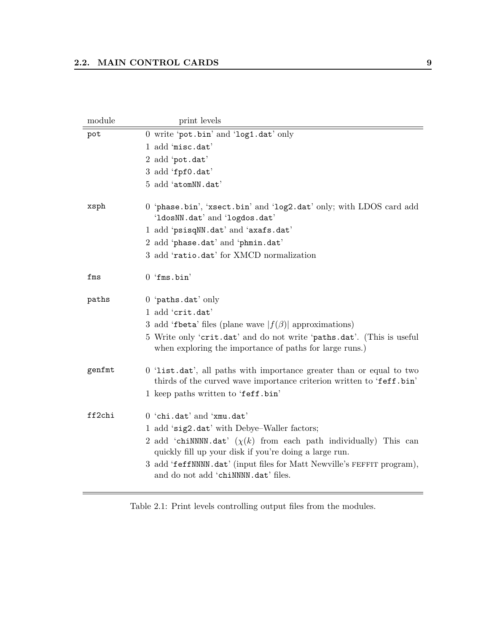| module | print levels                                                                                                                                 |
|--------|----------------------------------------------------------------------------------------------------------------------------------------------|
| pot    | 0 write 'pot.bin' and 'log1.dat' only                                                                                                        |
|        | 1 add 'misc.dat'                                                                                                                             |
|        | 2 add 'pot.dat'                                                                                                                              |
|        | 3 add 'fpf0.dat'                                                                                                                             |
|        | 5 add 'atomNN.dat'                                                                                                                           |
| xsph   | 0 'phase.bin', 'xsect.bin' and 'log2.dat' only; with LDOS card add<br>'1dosNN.dat' and 'logdos.dat'                                          |
|        | 1 add 'psisqNN.dat' and 'axafs.dat'                                                                                                          |
|        | 2 add 'phase.dat' and 'phmin.dat'                                                                                                            |
|        | 3 add 'ratio.dat' for XMCD normalization                                                                                                     |
| fms    | $0$ 'fms.bin'                                                                                                                                |
| paths  | $0$ 'paths.dat' only                                                                                                                         |
|        | 1 add 'crit.dat'                                                                                                                             |
|        | 3 add 'fbeta' files (plane wave $ f(\beta) $ approximations)                                                                                 |
|        | 5 Write only 'crit.dat' and do not write 'paths.dat'. (This is useful<br>when exploring the importance of paths for large runs.)             |
| genfmt | 0 'list.dat', all paths with importance greater than or equal to two<br>thirds of the curved wave importance criterion written to 'feff.bin' |
|        | 1 keep paths written to 'feff.bin'                                                                                                           |
| ff2chi | 0 'chi.dat' and 'xmu.dat'                                                                                                                    |
|        | 1 add 'sig2.dat' with Debye-Waller factors;                                                                                                  |
|        | 2 add 'chiNNNN.dat' $(\chi(k)$ from each path individually) This can<br>quickly fill up your disk if you're doing a large run.               |
|        | 3 add 'feffNNNN.dat' (input files for Matt Newville's FEFFIT program),<br>and do not add 'chiNNNN.dat' files.                                |

<span id="page-13-0"></span>Table 2.1: Print levels controlling output files from the modules.

Ξ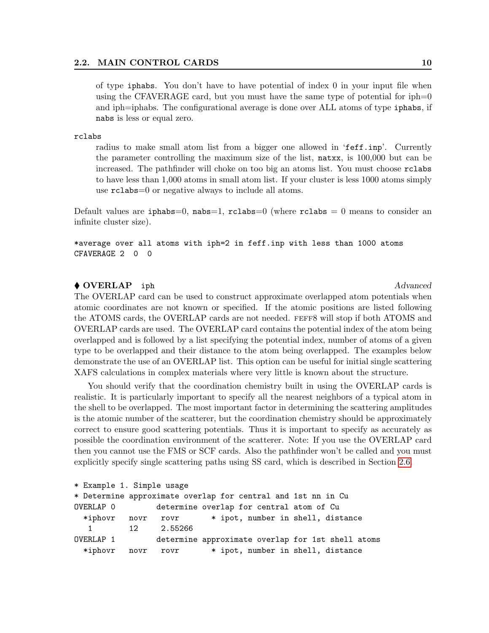of type iphabs. You don't have to have potential of index 0 in your input file when using the CFAVERAGE card, but you must have the same type of potential for  $iph=0$ and iph=iphabs. The configurational average is done over ALL atoms of type iphabs, if nabs is less or equal zero.

#### rclabs

radius to make small atom list from a bigger one allowed in 'feff.inp'. Currently the parameter controlling the maximum size of the list, natxx, is 100,000 but can be increased. The pathfinder will choke on too big an atoms list. You must choose rclabs to have less than 1,000 atoms in small atom list. If your cluster is less 1000 atoms simply use rclabs=0 or negative always to include all atoms.

Default values are iphabs=0, nabs=1, rclabs=0 (where rclabs = 0 means to consider an infinite cluster size).

\*average over all atoms with iph=2 in feff.inp with less than 1000 atoms CFAVERAGE 2 0 0

#### ◆ OVERLAP iph Advanced

The OVERLAP card can be used to construct approximate overlapped atom potentials when atomic coordinates are not known or specified. If the atomic positions are listed following the ATOMS cards, the OVERLAP cards are not needed. feff8 will stop if both ATOMS and OVERLAP cards are used. The OVERLAP card contains the potential index of the atom being overlapped and is followed by a list specifying the potential index, number of atoms of a given type to be overlapped and their distance to the atom being overlapped. The examples below demonstrate the use of an OVERLAP list. This option can be useful for initial single scattering XAFS calculations in complex materials where very little is known about the structure.

You should verify that the coordination chemistry built in using the OVERLAP cards is realistic. It is particularly important to specify all the nearest neighbors of a typical atom in the shell to be overlapped. The most important factor in determining the scattering amplitudes is the atomic number of the scatterer, but the coordination chemistry should be approximately correct to ensure good scattering potentials. Thus it is important to specify as accurately as possible the coordination environment of the scatterer. Note: If you use the OVERLAP card then you cannot use the FMS or SCF cards. Also the pathfinder won't be called and you must explicitly specify single scattering paths using SS card, which is described in Section [2.6.](#page-27-0)

```
* Example 1. Simple usage
* Determine approximate overlap for central and 1st nn in Cu
OVERLAP 0 determine overlap for central atom of Cu
 *iphovr novr rovr * ipot, number in shell, distance
  1 12 2.55266
OVERLAP 1 determine approximate overlap for 1st shell atoms
 *iphovr novr rovr * ipot, number in shell, distance
```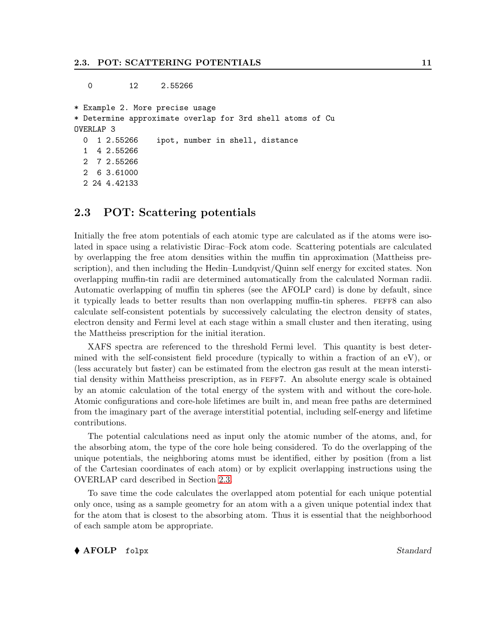0 12 2.55266

\* Example 2. More precise usage \* Determine approximate overlap for 3rd shell atoms of Cu OVERLAP 3 0 1 2.55266 ipot, number in shell, distance 1 4 2.55266 2 7 2.55266 2 6 3.61000 2 24 4.42133

## <span id="page-15-0"></span>2.3 POT: Scattering potentials

Initially the free atom potentials of each atomic type are calculated as if the atoms were isolated in space using a relativistic Dirac–Fock atom code. Scattering potentials are calculated by overlapping the free atom densities within the muffin tin approximation (Mattheiss prescription), and then including the Hedin–Lundqvist/Quinn self energy for excited states. Non overlapping muffin-tin radii are determined automatically from the calculated Norman radii. Automatic overlapping of muffin tin spheres (see the AFOLP card) is done by default, since it typically leads to better results than non overlapping muffin-tin spheres. FEFF8 can also calculate self-consistent potentials by successively calculating the electron density of states, electron density and Fermi level at each stage within a small cluster and then iterating, using the Mattheiss prescription for the initial iteration.

XAFS spectra are referenced to the threshold Fermi level. This quantity is best determined with the self-consistent field procedure (typically to within a fraction of an eV), or (less accurately but faster) can be estimated from the electron gas result at the mean interstitial density within Mattheiss prescription, as in feff7. An absolute energy scale is obtained by an atomic calculation of the total energy of the system with and without the core-hole. Atomic configurations and core-hole lifetimes are built in, and mean free paths are determined from the imaginary part of the average interstitial potential, including self-energy and lifetime contributions.

The potential calculations need as input only the atomic number of the atoms, and, for the absorbing atom, the type of the core hole being considered. To do the overlapping of the unique potentials, the neighboring atoms must be identified, either by position (from a list of the Cartesian coordinates of each atom) or by explicit overlapping instructions using the OVERLAP card described in Section [2.3.](#page-15-0)

To save time the code calculates the overlapped atom potential for each unique potential only once, using as a sample geometry for an atom with a a given unique potential index that for the atom that is closest to the absorbing atom. Thus it is essential that the neighborhood of each sample atom be appropriate.

#### ◆ AFOLP folpx Standard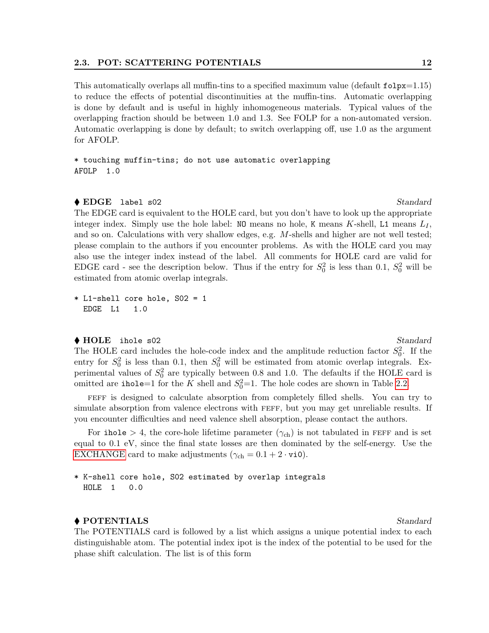#### 2.3. POT: SCATTERING POTENTIALS 12

This automatically overlaps all muffin-tins to a specified maximum value (default folpx=1.15) to reduce the effects of potential discontinuities at the muffin-tins. Automatic overlapping is done by default and is useful in highly inhomogeneous materials. Typical values of the overlapping fraction should be between 1.0 and 1.3. See FOLP for a non-automated version. Automatic overlapping is done by default; to switch overlapping off, use 1.0 as the argument for AFOLP.

\* touching muffin-tins; do not use automatic overlapping AFOLP 1.0

#### $\bullet$  EDGE label s02 Standard

The EDGE card is equivalent to the HOLE card, but you don't have to look up the appropriate integer index. Simply use the hole label:  $NO$  means no hole, K means K-shell, L1 means  $L_I$ , and so on. Calculations with very shallow edges, e.g. M-shells and higher are not well tested; please complain to the authors if you encounter problems. As with the HOLE card you may also use the integer index instead of the label. All comments for HOLE card are valid for EDGE card - see the description below. Thus if the entry for  $S_0^2$  is less than 0.1,  $S_0^2$  will be estimated from atomic overlap integrals.

\* L1-shell core hole, S02 = 1 EDGE L1 1.0

#### ◆ HOLE ihole s02 Standard

The HOLE card includes the hole-code index and the amplitude reduction factor  $S_0^2$ . If the entry for  $S_0^2$  is less than 0.1, then  $S_0^2$  will be estimated from atomic overlap integrals. Experimental values of  $S_0^2$  are typically between 0.8 and 1.0. The defaults if the HOLE card is omitted are ihole=1 for the K shell and  $S_0^2$ =1. The hole codes are shown in Table [2.2.](#page-17-0)

FEFF is designed to calculate absorption from completely filled shells. You can try to simulate absorption from valence electrons with FEFF, but you may get unreliable results. If you encounter difficulties and need valence shell absorption, please contact the authors.

For ihole  $> 4$ , the core-hole lifetime parameter  $(\gamma_{ch})$  is not tabulated in FEFF and is set equal to 0.1 eV, since the final state losses are then dominated by the self-energy. Use the [EXCHANGE](#page-17-0) card to make adjustments  $(\gamma_{ch} = 0.1 + 2 \cdot vi0)$ .

### \* K-shell core hole, S02 estimated by overlap integrals HOLE 1 0.0

#### ◆ POTENTIALS Standard

The POTENTIALS card is followed by a list which assigns a unique potential index to each distinguishable atom. The potential index ipot is the index of the potential to be used for the phase shift calculation. The list is of this form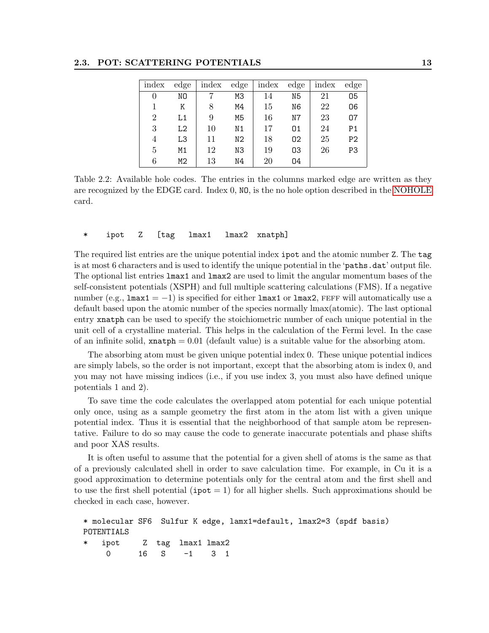### 2.3. POT: SCATTERING POTENTIALS 13

| index          | $_{\rm edge}$ | index | $_{\rm edge}$  | index | $_{\rm edge}$ | index | edge           |
|----------------|---------------|-------|----------------|-------|---------------|-------|----------------|
| 0              | NΟ            |       | M3             | 14    | N5            | 21    | 05             |
|                | Κ             | 8     | M4             | 15    | N6            | 22    | 06             |
| $\overline{2}$ | L1            | 9     | M5             | 16    | N7            | 23    | 07             |
| 3              | L2            | 10    | N <sub>1</sub> | 17    | 01            | 24    | P <sub>1</sub> |
| 4              | L3            | 11    | N <sub>2</sub> | 18    | 02            | 25    | P <sub>2</sub> |
| $\overline{5}$ | M1            | 12    | N3             | 19    | 03            | 26    | P3             |
| 6              | M2            | 13    | N4             | 20    | 04            |       |                |

<span id="page-17-0"></span>Table 2.2: Available hole codes. The entries in the columns marked edge are written as they are recognized by the EDGE card. Index 0, NO, is the no hole option described in the [NOHOLE](#page-17-0) card.

\* ipot Z [tag lmax1 lmax2 xnatph]

The required list entries are the unique potential index ipot and the atomic number Z. The tag is at most 6 characters and is used to identify the unique potential in the 'paths.dat' output file. The optional list entries lmax1 and lmax2 are used to limit the angular momentum bases of the self-consistent potentials (XSPH) and full multiple scattering calculations (FMS). If a negative number (e.g.,  $lmax1 = -1$ ) is specified for either  $lmax1$  or  $lmax2$ , FEFF will automatically use a default based upon the atomic number of the species normally lmax(atomic). The last optional entry xnatph can be used to specify the stoichiometric number of each unique potential in the unit cell of a crystalline material. This helps in the calculation of the Fermi level. In the case of an infinite solid,  $x \text{natph} = 0.01$  (default value) is a suitable value for the absorbing atom.

The absorbing atom must be given unique potential index 0. These unique potential indices are simply labels, so the order is not important, except that the absorbing atom is index 0, and you may not have missing indices (i.e., if you use index 3, you must also have defined unique potentials 1 and 2).

To save time the code calculates the overlapped atom potential for each unique potential only once, using as a sample geometry the first atom in the atom list with a given unique potential index. Thus it is essential that the neighborhood of that sample atom be representative. Failure to do so may cause the code to generate inaccurate potentials and phase shifts and poor XAS results.

It is often useful to assume that the potential for a given shell of atoms is the same as that of a previously calculated shell in order to save calculation time. For example, in Cu it is a good approximation to determine potentials only for the central atom and the first shell and to use the first shell potential ( $ipot = 1$ ) for all higher shells. Such approximations should be checked in each case, however.

```
* molecular SF6 Sulfur K edge, lamx1=default, lmax2=3 (spdf basis)
POTENTIALS
   ipot Z tag lmax1 lmax2
    0 16 S -1 3 1
```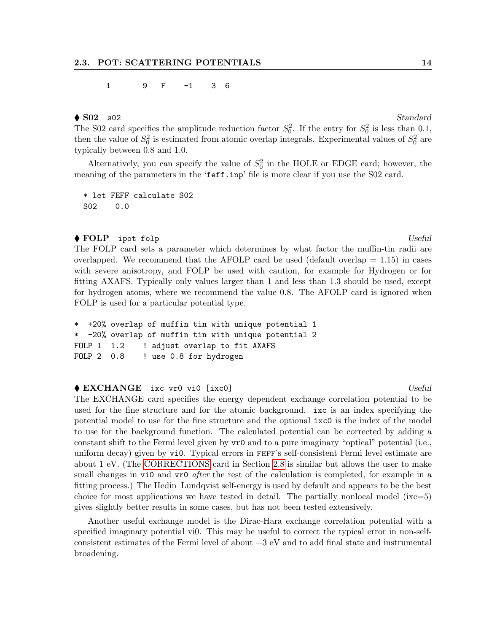#### 1 9 F -1 3 6

## $\bigcirc$  S02 s02 Standard

The S02 card specifies the amplitude reduction factor  $S_0^2$ . If the entry for  $S_0^2$  is less than 0.1, then the value of  $S_0^2$  is estimated from atomic overlap integrals. Experimental values of  $S_0^2$  are typically between 0.8 and 1.0.

Alternatively, you can specify the value of  $S_0^2$  in the HOLE or EDGE card; however, the meaning of the parameters in the 'feff.inp' file is more clear if you use the S02 card.

\* let FEFF calculate S02 S02 0.0

#### $\bullet$  FOLP ipot folp  $Useful$

The FOLP card sets a parameter which determines by what factor the muffin-tin radii are overlapped. We recommend that the AFOLP card be used (default overlap  $= 1.15$ ) in cases with severe anisotropy, and FOLP be used with caution, for example for Hydrogen or for fitting AXAFS. Typically only values larger than 1 and less than 1.3 should be used, except for hydrogen atoms, where we recommend the value 0.8. The AFOLP card is ignored when FOLP is used for a particular potential type.

```
* +20% overlap of muffin tin with unique potential 1
* -20% overlap of muffin tin with unique potential 2
FOLP 1 1.2 ! adjust overlap to fit AXAFS
FOLP 2 0.8 ! use 0.8 for hydrogen
```
#### ◆ EXCHANGE ixc vr0 vi0 [ixc0] Useful Useful Useful Useful Useful Useful Useful Useful Useful Useful Useful Useful Useful Useful Useful Useful Useful Useful Useful Useful Useful Useful Useful Useful Useful Useful Useful Us

The EXCHANGE card specifies the energy dependent exchange correlation potential to be used for the fine structure and for the atomic background. ixc is an index specifying the potential model to use for the fine structure and the optional ixc0 is the index of the model to use for the background function. The calculated potential can be corrected by adding a constant shift to the Fermi level given by vr0 and to a pure imaginary "optical" potential (i.e., uniform decay) given by vi0. Typical errors in feff's self-consistent Fermi level estimate are about 1 eV. (The [CORRECTIONS](#page-31-0) card in Section [2.8](#page-31-0) is similar but allows the user to make small changes in vi0 and vr0 *after* the rest of the calculation is completed, for example in a fitting process.) The Hedin–Lundqvist self-energy is used by default and appears to be the best choice for most applications we have tested in detail. The partially nonlocal model  $(ixc=5)$ gives slightly better results in some cases, but has not been tested extensively.

Another useful exchange model is the Dirac-Hara exchange correlation potential with a specified imaginary potential vi0. This may be useful to correct the typical error in non-selfconsistent estimates of the Fermi level of about  $+3$  eV and to add final state and instrumental broadening.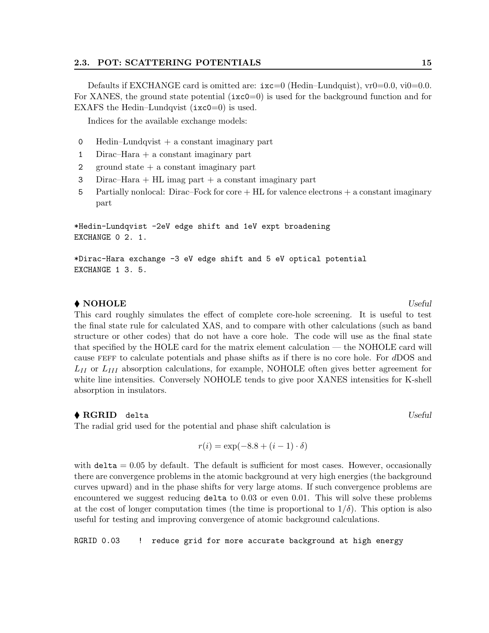Defaults if EXCHANGE card is omitted are:  $ixz=0$  (Hedin–Lundquist),  $vr0=0.0$ ,  $vi0=0.0$ . For XANES, the ground state potential  $(i \times c = 0)$  is used for the background function and for EXAFS the Hedin–Lundqvist (ixc0=0) is used.

Indices for the available exchange models:

- 0 Hedin–Lundqvist  $+$  a constant imaginary part
- 1 Dirac–Hara + a constant imaginary part
- 2 ground state + a constant imaginary part
- 3 Dirac–Hara + HL imag part + a constant imaginary part
- 5 Partially nonlocal: Dirac–Fock for core + HL for valence electrons + a constant imaginary part

\*Hedin-Lundqvist -2eV edge shift and 1eV expt broadening EXCHANGE 0 2. 1.

\*Dirac-Hara exchange -3 eV edge shift and 5 eV optical potential EXCHANGE 1 3. 5.

#### $\blacklozenge$  NOHOLE Useful

This card roughly simulates the effect of complete core-hole screening. It is useful to test the final state rule for calculated XAS, and to compare with other calculations (such as band structure or other codes) that do not have a core hole. The code will use as the final state that specified by the HOLE card for the matrix element calculation — the NOHOLE card will cause feff to calculate potentials and phase shifts as if there is no core hole. For dDOS and  $L_{II}$  or  $L_{III}$  absorption calculations, for example, NOHOLE often gives better agreement for white line intensities. Conversely NOHOLE tends to give poor XANES intensities for K-shell absorption in insulators.

#### $\blacklozenge$  RGRID delta  $Useful$

The radial grid used for the potential and phase shift calculation is

$$
r(i) = \exp(-8.8 + (i - 1) \cdot \delta)
$$

with  $delta = 0.05$  by default. The default is sufficient for most cases. However, occasionally there are convergence problems in the atomic background at very high energies (the background curves upward) and in the phase shifts for very large atoms. If such convergence problems are encountered we suggest reducing delta to 0.03 or even 0.01. This will solve these problems at the cost of longer computation times (the time is proportional to  $1/\delta$ ). This option is also useful for testing and improving convergence of atomic background calculations.

RGRID 0.03 ! reduce grid for more accurate background at high energy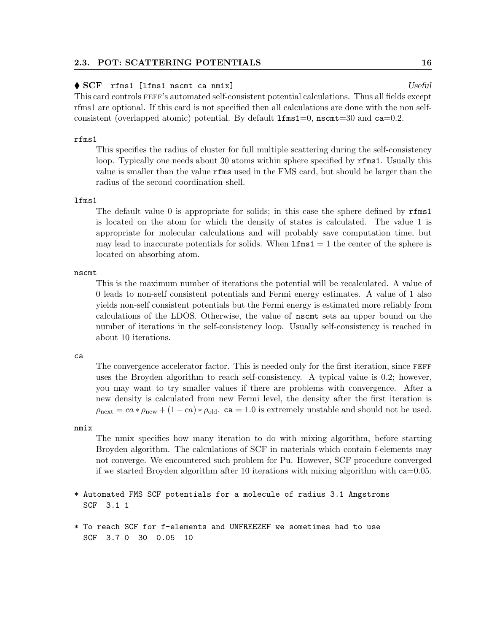#### 2.3. POT: SCATTERING POTENTIALS 16

#### ◆ SCF rfms1 [lfms1 nscmt ca nmix] Useful Useful Useful Useful Useful Useful Useful Useful Useful Useful Useful Useful Useful Useful Useful Useful Useful Useful Useful Useful Useful Useful Useful Useful Useful Useful Usefu

This card controls  $FEFF$ 's automated self-consistent potential calculations. Thus all fields except rfms1 are optional. If this card is not specified then all calculations are done with the non selfconsistent (overlapped atomic) potential. By default  $l$ fms $1=0$ , nscmt $=30$  and ca $=0.2$ .

#### rfms1

This specifies the radius of cluster for full multiple scattering during the self-consistency loop. Typically one needs about 30 atoms within sphere specified by rfms1. Usually this value is smaller than the value rfms used in the FMS card, but should be larger than the radius of the second coordination shell.

#### lfms1

The default value 0 is appropriate for solids; in this case the sphere defined by rfms1 is located on the atom for which the density of states is calculated. The value 1 is appropriate for molecular calculations and will probably save computation time, but may lead to inaccurate potentials for solids. When  $1 \text{fms1} = 1$  the center of the sphere is located on absorbing atom.

nscmt

This is the maximum number of iterations the potential will be recalculated. A value of 0 leads to non-self consistent potentials and Fermi energy estimates. A value of 1 also yields non-self consistent potentials but the Fermi energy is estimated more reliably from calculations of the LDOS. Otherwise, the value of nscmt sets an upper bound on the number of iterations in the self-consistency loop. Usually self-consistency is reached in about 10 iterations.

#### ca

The convergence accelerator factor. This is needed only for the first iteration, since FEFF uses the Broyden algorithm to reach self-consistency. A typical value is 0.2; however, you may want to try smaller values if there are problems with convergence. After a new density is calculated from new Fermi level, the density after the first iteration is  $\rho_{\text{next}} = ca * \rho_{\text{new}} + (1 - ca) * \rho_{\text{old}}$ . ca = 1.0 is extremely unstable and should not be used.

#### nmix

The nmix specifies how many iteration to do with mixing algorithm, before starting Broyden algorithm. The calculations of SCF in materials which contain f-elements may not converge. We encountered such problem for Pu. However, SCF procedure converged if we started Broyden algorithm after 10 iterations with mixing algorithm with ca=0.05.

### \* Automated FMS SCF potentials for a molecule of radius 3.1 Angstroms SCF 3.1 1

\* To reach SCF for f-elements and UNFREEZEF we sometimes had to use SCF 3.7 0 30 0.05 10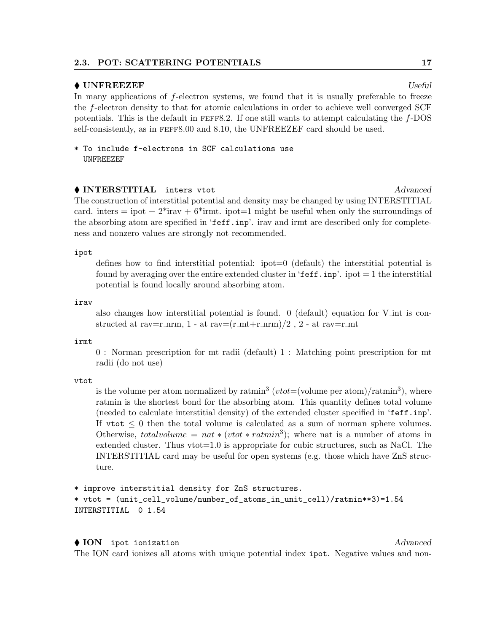#### 2.3. POT: SCATTERING POTENTIALS 17

#### $\bullet$  UNFREEZEF Useful Useful  $U$

In many applications of f-electron systems, we found that it is usually preferable to freeze the f-electron density to that for atomic calculations in order to achieve well converged SCF potentials. This is the default in  $FEFF8.2$ . If one still wants to attempt calculating the  $f$ -DOS self-consistently, as in feff8.00 and 8.10, the UNFREEZEF card should be used.

\* To include f-electrons in SCF calculations use UNFREEZEF

◆ INTERSTITIAL inters vtot Advanced The construction of interstitial potential and density may be changed by using INTERSTITIAL card. inters = ipot +  $2^*$ irav +  $6^*$ irmt. ipot=1 might be useful when only the surroundings of the absorbing atom are specified in 'feff.inp'. irav and irmt are described only for completeness and nonzero values are strongly not recommended.

ipot

defines how to find interstitial potential: ipot=0 (default) the interstitial potential is found by averaging over the entire extended cluster in ' $\texttt{feff}.\texttt{inp}'$ . ipot  $=1$  the interstitial potential is found locally around absorbing atom.

irav

also changes how interstitial potential is found. 0 (default) equation for V int is constructed at rav=r\_nrm, 1 - at rav= $(r_m + r_n)$  /2, 2 - at rav=r\_mt

irmt

0 : Norman prescription for mt radii (default) 1 : Matching point prescription for mt radii (do not use)

vtot

is the volume per atom normalized by ratmin<sup>3</sup> (*vtot*=(volume per atom)/ratmin<sup>3</sup>), where ratmin is the shortest bond for the absorbing atom. This quantity defines total volume (needed to calculate interstitial density) of the extended cluster specified in 'feff.inp'. If  $v \text{tot} \leq 0$  then the total volume is calculated as a sum of norman sphere volumes. Otherwise, totalvolume =  $nat * (vtot * ratmin^3)$ ; where nat is a number of atoms in extended cluster. Thus vtot=1.0 is appropriate for cubic structures, such as NaCl. The INTERSTITIAL card may be useful for open systems (e.g. those which have ZnS structure.

```
* improve interstitial density for ZnS structures.
* vtot = (unit_cell_volume/number_of_atoms_in_unit_cell)/ratmin**3)=1.54
INTERSTITIAL 0 1.54
```
#### ◆ ION ipot ionization Advanced

The ION card ionizes all atoms with unique potential index ipot. Negative values and non-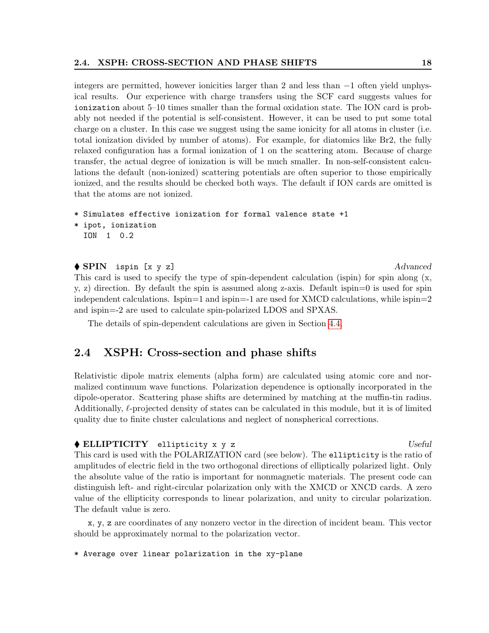integers are permitted, however ionicities larger than 2 and less than −1 often yield unphysical results. Our experience with charge transfers using the SCF card suggests values for ionization about 5–10 times smaller than the formal oxidation state. The ION card is probably not needed if the potential is self-consistent. However, it can be used to put some total charge on a cluster. In this case we suggest using the same ionicity for all atoms in cluster (i.e. total ionization divided by number of atoms). For example, for diatomics like Br2, the fully relaxed configuration has a formal ionization of 1 on the scattering atom. Because of charge transfer, the actual degree of ionization is will be much smaller. In non-self-consistent calculations the default (non-ionized) scattering potentials are often superior to those empirically ionized, and the results should be checked both ways. The default if ION cards are omitted is that the atoms are not ionized.

```
* Simulates effective ionization for formal valence state +1
* ipot, ionization
```

```
ION 1 0.2
```
#### ◆ SPIN ispin [x y z] Advanced

This card is used to specify the type of spin-dependent calculation (ispin) for spin along (x, y, z) direction. By default the spin is assumed along z-axis. Default ispin=0 is used for spin independent calculations. Ispin=1 and ispin=-1 are used for XMCD calculations, while ispin=2 and ispin=-2 are used to calculate spin-polarized LDOS and SPXAS.

The details of spin-dependent calculations are given in Section [4.4.](#page-46-1)

### <span id="page-22-0"></span>2.4 XSPH: Cross-section and phase shifts

Relativistic dipole matrix elements (alpha form) are calculated using atomic core and normalized continuum wave functions. Polarization dependence is optionally incorporated in the dipole-operator. Scattering phase shifts are determined by matching at the muffin-tin radius. Additionally,  $\ell$ -projected density of states can be calculated in this module, but it is of limited quality due to finite cluster calculations and neglect of nonspherical corrections.

#### $\triangle$  ELLIPTICITY ellipticity x y z  $Useful$

This card is used with the POLARIZATION card (see below). The ellipticity is the ratio of amplitudes of electric field in the two orthogonal directions of elliptically polarized light. Only the absolute value of the ratio is important for nonmagnetic materials. The present code can distinguish left- and right-circular polarization only with the XMCD or XNCD cards. A zero value of the ellipticity corresponds to linear polarization, and unity to circular polarization. The default value is zero.

x, y, z are coordinates of any nonzero vector in the direction of incident beam. This vector should be approximately normal to the polarization vector.

\* Average over linear polarization in the xy-plane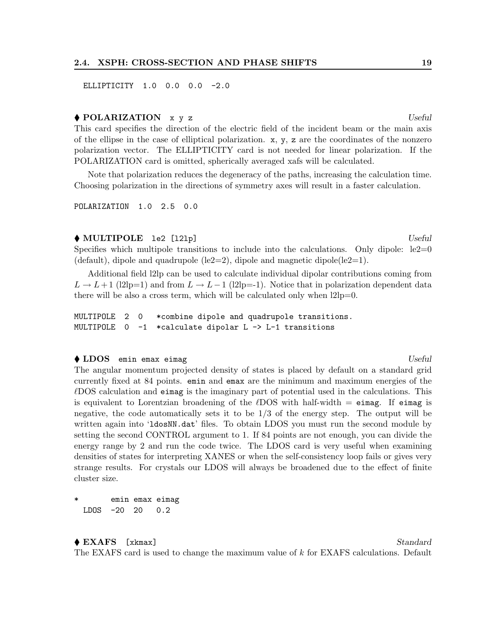#### 2.4. XSPH: CROSS-SECTION AND PHASE SHIFTS 19

ELLIPTICITY 1.0 0.0 0.0 -2.0

#### $\big\{\in$ POLARIZATION  $x, y, z$  Useful

This card specifies the direction of the electric field of the incident beam or the main axis of the ellipse in the case of elliptical polarization.  $x, y, z$  are the coordinates of the nonzero polarization vector. The ELLIPTICITY card is not needed for linear polarization. If the POLARIZATION card is omitted, spherically averaged xafs will be calculated.

Note that polarization reduces the degeneracy of the paths, increasing the calculation time. Choosing polarization in the directions of symmetry axes will result in a faster calculation.

POLARIZATION 1.0 2.5 0.0

#### $\blacklozenge$  MULTIPOLE 1e2 [121p]  $Useful$

Specifies which multipole transitions to include into the calculations. Only dipole:  $le2=0$ (default), dipole and quadrupole (le2=2), dipole and magnetic dipole(le2=1).

Additional field l2lp can be used to calculate individual dipolar contributions coming from  $L \to L+1$  (l2lp=1) and from  $L \to L-1$  (l2lp=-1). Notice that in polarization dependent data there will be also a cross term, which will be calculated only when l2lp=0.

MULTIPOLE 2 0 \*combine dipole and quadrupole transitions. MULTIPOLE 0 -1 \*calculate dipolar L -> L-1 transitions

#### ◆ LDOS emin emax eimag Useful and the Useful and the Useful and Useful and Useful and Useful and Useful and Useful and Useful and Useful and Useful and Useful and Useful and Useful and Useful and Useful and Useful and Use

The angular momentum projected density of states is placed by default on a standard grid currently fixed at 84 points. emin and emax are the minimum and maximum energies of the  $\ell$ DOS calculation and eimag is the imaginary part of potential used in the calculations. This is equivalent to Lorentzian broadening of the  $\ell$ DOS with half-width  $=$  eimag. If eimag is negative, the code automatically sets it to be 1/3 of the energy step. The output will be written again into '1 dosNN.dat' files. To obtain LDOS you must run the second module by setting the second CONTROL argument to 1. If 84 points are not enough, you can divide the energy range by 2 and run the code twice. The LDOS card is very useful when examining densities of states for interpreting XANES or when the self-consistency loop fails or gives very strange results. For crystals our LDOS will always be broadened due to the effect of finite cluster size.

emin emax eimag LDOS -20 20 0.2

## ◆ EXAFS [xkmax] Standard

The EXAFS card is used to change the maximum value of k for EXAFS calculations. Default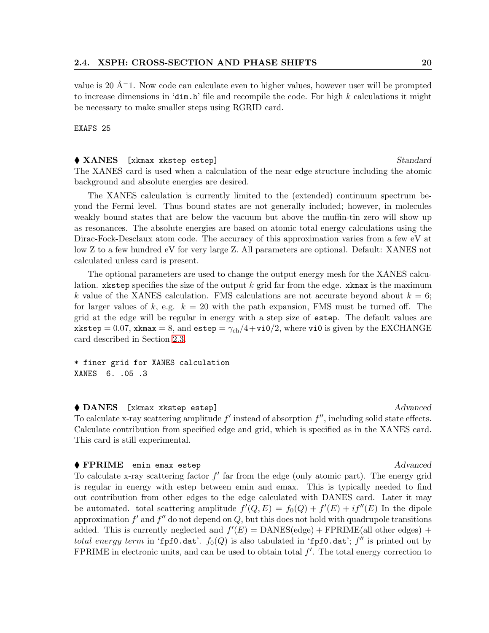value is 20  $\text{A}^{-1}$ . Now code can calculate even to higher values, however user will be prompted to increase dimensions in 'dim.h' file and recompile the code. For high  $k$  calculations it might be necessary to make smaller steps using RGRID card.

EXAFS 25

#### ◆ XANES [xkmax xkstep estep] Standard

The XANES card is used when a calculation of the near edge structure including the atomic background and absolute energies are desired.

The XANES calculation is currently limited to the (extended) continuum spectrum beyond the Fermi level. Thus bound states are not generally included; however, in molecules weakly bound states that are below the vacuum but above the muffin-tin zero will show up as resonances. The absolute energies are based on atomic total energy calculations using the Dirac-Fock-Desclaux atom code. The accuracy of this approximation varies from a few eV at low Z to a few hundred eV for very large Z. All parameters are optional. Default: XANES not calculated unless card is present.

The optional parameters are used to change the output energy mesh for the XANES calculation. xkstep specifies the size of the output  $k$  grid far from the edge. xkmax is the maximum k value of the XANES calculation. FMS calculations are not accurate beyond about  $k = 6$ ; for larger values of k, e.g.  $k = 20$  with the path expansion, FMS must be turned off. The grid at the edge will be regular in energy with a step size of estep. The default values are xkstep = 0.07, xkmax = 8, and estep =  $\gamma_{ch}/4 + \nu i0/2$ , where vi0 is given by the EXCHANGE card described in Section [2.3.](#page-15-0)

\* finer grid for XANES calculation XANES 6. .05 .3

◆ DANES [xkmax xkstep estep] Advanced To calculate x-ray scattering amplitude  $f'$  instead of absorption  $f''$ , including solid state effects. Calculate contribution from specified edge and grid, which is specified as in the XANES card. This card is still experimental.

#### $\blacklozenge$  FPRIME emin emax estep  $\blacktriangle$

To calculate x-ray scattering factor  $f'$  far from the edge (only atomic part). The energy grid is regular in energy with estep between emin and emax. This is typically needed to find out contribution from other edges to the edge calculated with DANES card. Later it may be automated. total scattering amplitude  $f'(Q, E) = f_0(Q) + f'(E) + if''(E)$  In the dipole approximation  $f'$  and  $f''$  do not depend on  $Q$ , but this does not hold with quadrupole transitions added. This is currently neglected and  $f'(E) = DANES$ (edge) + FPRIME(all other edges) + total energy term in 'fpf0.dat'.  $f_0(Q)$  is also tabulated in 'fpf0.dat';  $f''$  is printed out by FPRIME in electronic units, and can be used to obtain total  $f'$ . The total energy correction to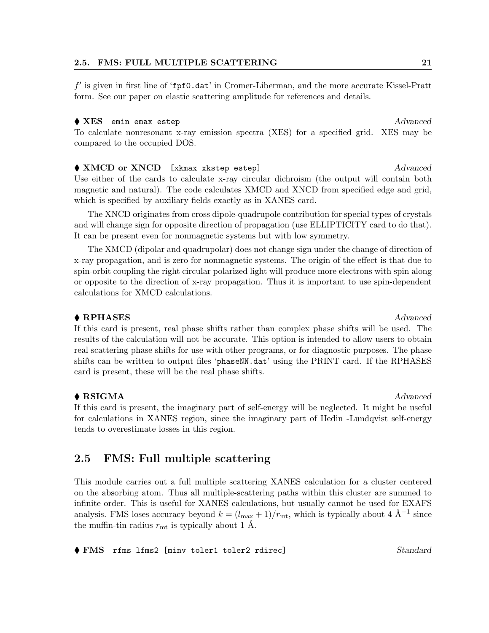#### 2.5. FMS: FULL MULTIPLE SCATTERING 21

f' is given in first line of 'fpf0.dat' in Cromer-Liberman, and the more accurate Kissel-Pratt form. See our paper on elastic scattering amplitude for references and details.

#### ◆ XES emin emax estep and a set of the set of the set of the set of the set of the set of the set of the set of the set of the set of the set of the set of the set of the set of the set of the set of the set of the set of

To calculate nonresonant x-ray emission spectra (XES) for a specified grid. XES may be compared to the occupied DOS.

◆ XMCD or XNCD [xkmax xkstep estep] Advanced Use either of the cards to calculate x-ray circular dichroism (the output will contain both magnetic and natural). The code calculates XMCD and XNCD from specified edge and grid, which is specified by auxiliary fields exactly as in XANES card.

The XNCD originates from cross dipole-quadrupole contribution for special types of crystals and will change sign for opposite direction of propagation (use ELLIPTICITY card to do that). It can be present even for nonmagnetic systems but with low symmetry.

The XMCD (dipolar and quadrupolar) does not change sign under the change of direction of x-ray propagation, and is zero for nonmagnetic systems. The origin of the effect is that due to spin-orbit coupling the right circular polarized light will produce more electrons with spin along or opposite to the direction of x-ray propagation. Thus it is important to use spin-dependent calculations for XMCD calculations.

#### $\bullet$  RPHASES  $\bullet$  Advanced

If this card is present, real phase shifts rather than complex phase shifts will be used. The results of the calculation will not be accurate. This option is intended to allow users to obtain real scattering phase shifts for use with other programs, or for diagnostic purposes. The phase shifts can be written to output files 'phaseNN.dat' using the PRINT card. If the RPHASES card is present, these will be the real phase shifts.

### ◆ RSIGMA *Advanced*

If this card is present, the imaginary part of self-energy will be neglected. It might be useful for calculations in XANES region, since the imaginary part of Hedin -Lundqvist self-energy tends to overestimate losses in this region.

## <span id="page-25-0"></span>2.5 FMS: Full multiple scattering

This module carries out a full multiple scattering XANES calculation for a cluster centered on the absorbing atom. Thus all multiple-scattering paths within this cluster are summed to infinite order. This is useful for XANES calculations, but usually cannot be used for EXAFS analysis. FMS loses accuracy beyond  $k = (l_{\text{max}} + 1)/r_{\text{mt}}$ , which is typically about 4  $\AA^{-1}$  since the muffin-tin radius  $r<sub>mt</sub>$  is typically about 1 Å.

◆ FMS rfms lfms2 [minv toler1 toler2 rdirec] Standard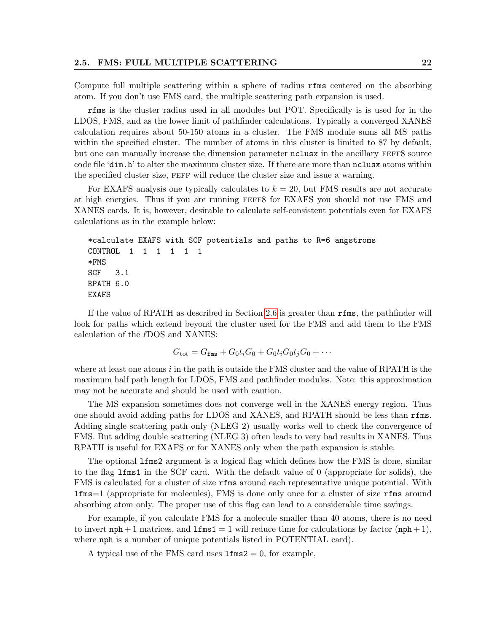Compute full multiple scattering within a sphere of radius rfms centered on the absorbing atom. If you don't use FMS card, the multiple scattering path expansion is used.

rfms is the cluster radius used in all modules but POT. Specifically is is used for in the LDOS, FMS, and as the lower limit of pathfinder calculations. Typically a converged XANES calculation requires about 50-150 atoms in a cluster. The FMS module sums all MS paths within the specified cluster. The number of atoms in this cluster is limited to 87 by default, but one can manually increase the dimension parameter nolusx in the ancillary FEFF8 source code file 'dim.h' to alter the maximum cluster size. If there are more than nclusx atoms within the specified cluster size, FEFF will reduce the cluster size and issue a warning.

For EXAFS analysis one typically calculates to  $k = 20$ , but FMS results are not accurate at high energies. Thus if you are running feff8 for EXAFS you should not use FMS and XANES cards. It is, however, desirable to calculate self-consistent potentials even for EXAFS calculations as in the example below:

```
*calculate EXAFS with SCF potentials and paths to R=6 angstroms
CONTROL 1 1 1 1 1 1
*FMS
SCF 3.1
RPATH 6.0
EXAFS
```
If the value of RPATH as described in Section [2.6](#page-27-0) is greater than rfms, the pathfinder will look for paths which extend beyond the cluster used for the FMS and add them to the FMS calculation of the  $\ell$ DOS and XANES:

$$
G_{\text{tot}} = G_{\text{fms}} + G_0 t_i G_0 + G_0 t_i G_0 t_j G_0 + \cdots
$$

where at least one atoms  $i$  in the path is outside the FMS cluster and the value of RPATH is the maximum half path length for LDOS, FMS and pathfinder modules. Note: this approximation may not be accurate and should be used with caution.

The MS expansion sometimes does not converge well in the XANES energy region. Thus one should avoid adding paths for LDOS and XANES, and RPATH should be less than rfms. Adding single scattering path only (NLEG 2) usually works well to check the convergence of FMS. But adding double scattering (NLEG 3) often leads to very bad results in XANES. Thus RPATH is useful for EXAFS or for XANES only when the path expansion is stable.

The optional lfms2 argument is a logical flag which defines how the FMS is done, similar to the flag lfms1 in the SCF card. With the default value of 0 (appropriate for solids), the FMS is calculated for a cluster of size rfms around each representative unique potential. With lfms=1 (appropriate for molecules), FMS is done only once for a cluster of size rfms around absorbing atom only. The proper use of this flag can lead to a considerable time savings.

For example, if you calculate FMS for a molecule smaller than 40 atoms, there is no need to invert  $nph + 1$  matrices, and  $1fmsl = 1$  will reduce time for calculations by factor  $(nph + 1)$ , where nph is a number of unique potentials listed in POTENTIAL card).

A typical use of the FMS card uses  $1 \text{fms2} = 0$ , for example,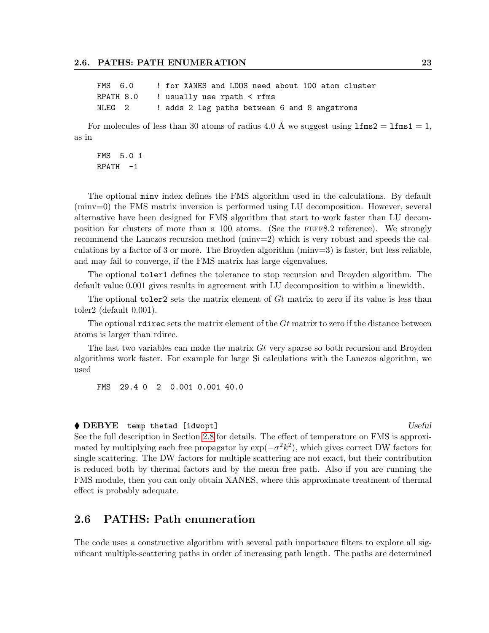| FMS 6.0 |                                             |  |  |  |  |  |                                              | ! for XANES and LDOS need about 100 atom cluster |
|---------|---------------------------------------------|--|--|--|--|--|----------------------------------------------|--------------------------------------------------|
|         | RPATH $8.0$ ! usually use rpath $\leq$ rfms |  |  |  |  |  |                                              |                                                  |
| NLEG 2  |                                             |  |  |  |  |  | ! adds 2 leg paths between 6 and 8 angstroms |                                                  |

For molecules of less than 30 atoms of radius 4.0 Å we suggest using  $1 \text{fms2} = 1 \text{fms1} = 1$ , as in

FMS 5.0 1  $RPATH -1$ 

The optional minv index defines the FMS algorithm used in the calculations. By default (minv=0) the FMS matrix inversion is performed using LU decomposition. However, several alternative have been designed for FMS algorithm that start to work faster than LU decomposition for clusters of more than a 100 atoms. (See the feff8.2 reference). We strongly recommend the Lanczos recursion method (minv=2) which is very robust and speeds the calculations by a factor of 3 or more. The Broyden algorithm (minv=3) is faster, but less reliable, and may fail to converge, if the FMS matrix has large eigenvalues.

The optional toler1 defines the tolerance to stop recursion and Broyden algorithm. The default value 0.001 gives results in agreement with LU decomposition to within a linewidth.

The optional toler<sub>2</sub> sets the matrix element of Gt matrix to zero if its value is less than toler2 (default 0.001).

The optional reduce sets the matrix element of the  $Gt$  matrix to zero if the distance between atoms is larger than rdirec.

The last two variables can make the matrix Gt very sparse so both recursion and Broyden algorithms work faster. For example for large Si calculations with the Lanczos algorithm, we used

FMS 29.4 0 2 0.001 0.001 40.0

#### ◆ DEBYE temp thetad [idwopt] Useful

See the full description in Section [2.8](#page-31-0) for details. The effect of temperature on FMS is approximated by multiplying each free propagator by  $\exp(-\sigma^2 k^2)$ , which gives correct DW factors for single scattering. The DW factors for multiple scattering are not exact, but their contribution is reduced both by thermal factors and by the mean free path. Also if you are running the FMS module, then you can only obtain XANES, where this approximate treatment of thermal effect is probably adequate.

## <span id="page-27-0"></span>2.6 PATHS: Path enumeration

The code uses a constructive algorithm with several path importance filters to explore all significant multiple-scattering paths in order of increasing path length. The paths are determined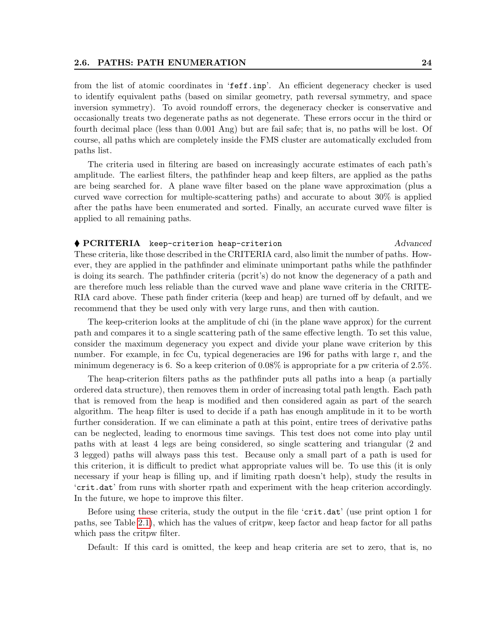from the list of atomic coordinates in 'feff.inp'. An efficient degeneracy checker is used to identify equivalent paths (based on similar geometry, path reversal symmetry, and space inversion symmetry). To avoid roundoff errors, the degeneracy checker is conservative and occasionally treats two degenerate paths as not degenerate. These errors occur in the third or fourth decimal place (less than 0.001 Ang) but are fail safe; that is, no paths will be lost. Of course, all paths which are completely inside the FMS cluster are automatically excluded from paths list.

The criteria used in filtering are based on increasingly accurate estimates of each path's amplitude. The earliest filters, the pathfinder heap and keep filters, are applied as the paths are being searched for. A plane wave filter based on the plane wave approximation (plus a curved wave correction for multiple-scattering paths) and accurate to about 30% is applied after the paths have been enumerated and sorted. Finally, an accurate curved wave filter is applied to all remaining paths.

 PCRITERIA keep-criterion heap-criterion Advanced These criteria, like those described in the CRITERIA card, also limit the number of paths. However, they are applied in the pathfinder and eliminate unimportant paths while the pathfinder is doing its search. The pathfinder criteria (pcrit's) do not know the degeneracy of a path and are therefore much less reliable than the curved wave and plane wave criteria in the CRITE-RIA card above. These path finder criteria (keep and heap) are turned off by default, and we recommend that they be used only with very large runs, and then with caution.

The keep-criterion looks at the amplitude of chi (in the plane wave approx) for the current path and compares it to a single scattering path of the same effective length. To set this value, consider the maximum degeneracy you expect and divide your plane wave criterion by this number. For example, in fcc Cu, typical degeneracies are 196 for paths with large r, and the minimum degeneracy is 6. So a keep criterion of 0.08% is appropriate for a pw criteria of 2.5%.

The heap-criterion filters paths as the pathfinder puts all paths into a heap (a partially ordered data structure), then removes them in order of increasing total path length. Each path that is removed from the heap is modified and then considered again as part of the search algorithm. The heap filter is used to decide if a path has enough amplitude in it to be worth further consideration. If we can eliminate a path at this point, entire trees of derivative paths can be neglected, leading to enormous time savings. This test does not come into play until paths with at least 4 legs are being considered, so single scattering and triangular (2 and 3 legged) paths will always pass this test. Because only a small part of a path is used for this criterion, it is difficult to predict what appropriate values will be. To use this (it is only necessary if your heap is filling up, and if limiting rpath doesn't help), study the results in 'crit.dat' from runs with shorter rpath and experiment with the heap criterion accordingly. In the future, we hope to improve this filter.

Before using these criteria, study the output in the file 'crit.dat' (use print option 1 for paths, see Table [2.1\)](#page-13-0), which has the values of critpw, keep factor and heap factor for all paths which pass the critpw filter.

Default: If this card is omitted, the keep and heap criteria are set to zero, that is, no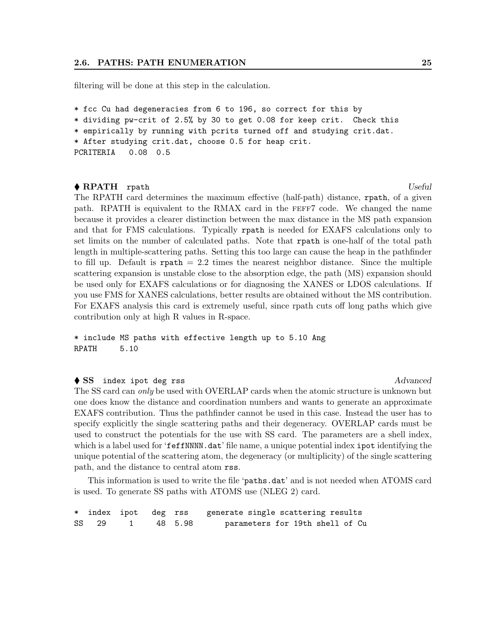filtering will be done at this step in the calculation.

\* fcc Cu had degeneracies from 6 to 196, so correct for this by

\* dividing pw-crit of 2.5% by 30 to get 0.08 for keep crit. Check this

\* empirically by running with pcrits turned off and studying crit.dat.

\* After studying crit.dat, choose 0.5 for heap crit.

```
PCRITERIA 0.08 0.5
```
#### ◆ RPATH rpath Useful Research Week and Distribution of the Useful Research Museum of the Useful Research Oseful Research Museum of the Useful Research Museum of the Useful Research Museum of the Useful Research Museum of

The RPATH card determines the maximum effective (half-path) distance, rpath, of a given path. RPATH is equivalent to the RMAX card in the feff7 code. We changed the name because it provides a clearer distinction between the max distance in the MS path expansion and that for FMS calculations. Typically rpath is needed for EXAFS calculations only to set limits on the number of calculated paths. Note that rpath is one-half of the total path length in multiple-scattering paths. Setting this too large can cause the heap in the pathfinder to fill up. Default is  $\text{rpath} = 2.2$  times the nearest neighbor distance. Since the multiple scattering expansion is unstable close to the absorption edge, the path (MS) expansion should be used only for EXAFS calculations or for diagnosing the XANES or LDOS calculations. If you use FMS for XANES calculations, better results are obtained without the MS contribution. For EXAFS analysis this card is extremely useful, since rpath cuts off long paths which give contribution only at high R values in R-space.

\* include MS paths with effective length up to 5.10 Ang RPATH 5.10

### ◆ SS index ipot deg rss Advanced

The SS card can only be used with OVERLAP cards when the atomic structure is unknown but one does know the distance and coordination numbers and wants to generate an approximate EXAFS contribution. Thus the pathfinder cannot be used in this case. Instead the user has to specify explicitly the single scattering paths and their degeneracy. OVERLAP cards must be used to construct the potentials for the use with SS card. The parameters are a shell index, which is a label used for 'feffNNNN.dat' file name, a unique potential index ipot identifying the unique potential of the scattering atom, the degeneracy (or multiplicity) of the single scattering path, and the distance to central atom rss.

This information is used to write the file 'paths.dat' and is not needed when ATOMS card is used. To generate SS paths with ATOMS use (NLEG 2) card.

| * index ipot deg rss |           | generate single scattering results |
|----------------------|-----------|------------------------------------|
| SS 29                | 1 48 5.98 | parameters for 19th shell of Cu    |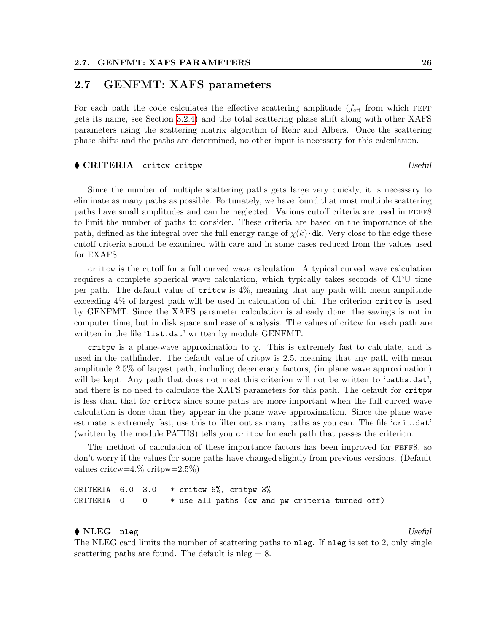### <span id="page-30-0"></span>2.7 GENFMT: XAFS parameters

For each path the code calculates the effective scattering amplitude  $(f_{\text{eff}}$  from which FEFF gets its name, see Section [3.2.4\)](#page-37-1) and the total scattering phase shift along with other XAFS parameters using the scattering matrix algorithm of Rehr and Albers. Once the scattering phase shifts and the paths are determined, no other input is necessary for this calculation.

#### ◆ CRITERIA critcw critpw Useful and the Useful and Useful and Useful and Useful and Useful and Useful and Useful and Useful and Useful and Useful and Useful and Useful and Useful and Useful and Useful and Useful and Usefu

Since the number of multiple scattering paths gets large very quickly, it is necessary to eliminate as many paths as possible. Fortunately, we have found that most multiple scattering paths have small amplitudes and can be neglected. Various cutoff criteria are used in FEFF8 to limit the number of paths to consider. These criteria are based on the importance of the path, defined as the integral over the full energy range of  $\chi(k)$  dk. Very close to the edge these cutoff criteria should be examined with care and in some cases reduced from the values used for EXAFS.

critcw is the cutoff for a full curved wave calculation. A typical curved wave calculation requires a complete spherical wave calculation, which typically takes seconds of CPU time per path. The default value of critcw is 4%, meaning that any path with mean amplitude exceeding 4% of largest path will be used in calculation of chi. The criterion critcw is used by GENFMT. Since the XAFS parameter calculation is already done, the savings is not in computer time, but in disk space and ease of analysis. The values of critcw for each path are written in the file 'list.dat' written by module GENFMT.

critpw is a plane-wave approximation to  $\chi$ . This is extremely fast to calculate, and is used in the pathfinder. The default value of critpw is 2.5, meaning that any path with mean amplitude 2.5% of largest path, including degeneracy factors, (in plane wave approximation) will be kept. Any path that does not meet this criterion will not be written to 'paths.dat', and there is no need to calculate the XAFS parameters for this path. The default for critpw is less than that for critcw since some paths are more important when the full curved wave calculation is done than they appear in the plane wave approximation. Since the plane wave estimate is extremely fast, use this to filter out as many paths as you can. The file 'crit.dat' (written by the module PATHS) tells you critpw for each path that passes the criterion.

The method of calculation of these importance factors has been improved for feff8, so don't worry if the values for some paths have changed slightly from previous versions. (Default values critcw=4.% critpw=2.5%)

CRITERIA  $6.0$  3.0  $*$  critcw  $6\%$ , critpw  $3\%$  $CRITERIA$  0 0  $*$  use all paths (cw and pw criteria turned off)

#### $\big\{\right.$  NLEG nleg  $Useful$

The NLEG card limits the number of scattering paths to nleg. If nleg is set to 2, only single scattering paths are found. The default is  $n \leq 8$ .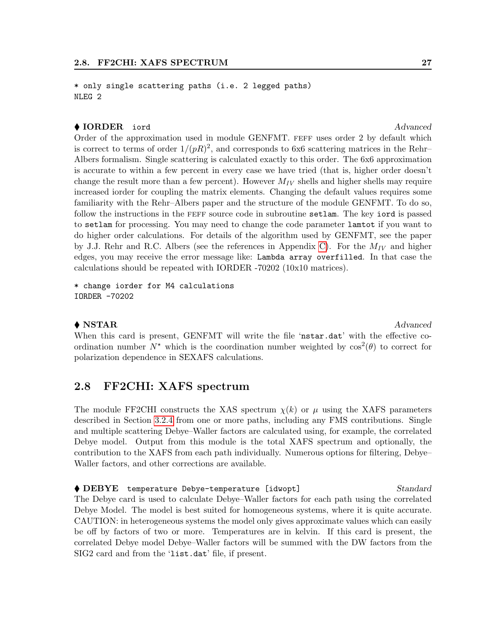\* only single scattering paths (i.e. 2 legged paths) NLEG 2

#### ◆ IORDER iord Advanced

Order of the approximation used in module GENFMT. FEFF uses order 2 by default which is correct to terms of order  $1/(pR)^2$ , and corresponds to 6x6 scattering matrices in the Rehr-Albers formalism. Single scattering is calculated exactly to this order. The 6x6 approximation is accurate to within a few percent in every case we have tried (that is, higher order doesn't change the result more than a few percent). However  $M_{IV}$  shells and higher shells may require increased iorder for coupling the matrix elements. Changing the default values requires some familiarity with the Rehr–Albers paper and the structure of the module GENFMT. To do so, follow the instructions in the feff source code in subroutine setlam. The key iord is passed to setlam for processing. You may need to change the code parameter lamtot if you want to do higher order calculations. For details of the algorithm used by GENFMT, see the paper by J.J. Rehr and R.C. Albers (see the references in Appendix [C\)](#page-61-0). For the  $M_{IV}$  and higher edges, you may receive the error message like: Lambda array overfilled. In that case the calculations should be repeated with IORDER -70202 (10x10 matrices).

\* change iorder for M4 calculations IORDER -70202

### $\blacklozenge$  NSTAR  $\blacktriangle$

When this card is present, GENFMT will write the file 'nstar.dat' with the effective coordination number  $N^*$  which is the coordination number weighted by  $\cos^2(\theta)$  to correct for polarization dependence in SEXAFS calculations.

### <span id="page-31-0"></span>2.8 FF2CHI: XAFS spectrum

The module FF2CHI constructs the XAS spectrum  $\chi(k)$  or  $\mu$  using the XAFS parameters described in Section [3.2.4](#page-37-1) from one or more paths, including any FMS contributions. Single and multiple scattering Debye–Waller factors are calculated using, for example, the correlated Debye model. Output from this module is the total XAFS spectrum and optionally, the contribution to the XAFS from each path individually. Numerous options for filtering, Debye– Waller factors, and other corrections are available.

◆ DEBYE temperature Debye-temperature [idwopt] Standard The Debye card is used to calculate Debye–Waller factors for each path using the correlated Debye Model. The model is best suited for homogeneous systems, where it is quite accurate. CAUTION: in heterogeneous systems the model only gives approximate values which can easily be off by factors of two or more. Temperatures are in kelvin. If this card is present, the correlated Debye model Debye–Waller factors will be summed with the DW factors from the SIG2 card and from the 'list.dat' file, if present.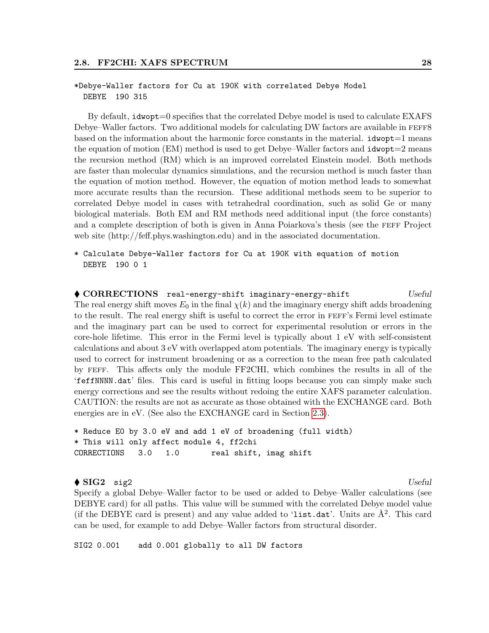#### \*Debye-Waller factors for Cu at 190K with correlated Debye Model DEBYE 190 315

By default, idwopt=0 specifies that the correlated Debye model is used to calculate EXAFS Debye–Waller factors. Two additional models for calculating DW factors are available in FEFF8 based on the information about the harmonic force constants in the material.  $\mathbf{i} \cdot \mathbf{d} \cdot \mathbf{d}$  means the equation of motion  $(EM)$  method is used to get Debye–Waller factors and  $i$ dwopt $=2$  means the recursion method (RM) which is an improved correlated Einstein model. Both methods are faster than molecular dynamics simulations, and the recursion method is much faster than the equation of motion method. However, the equation of motion method leads to somewhat more accurate results than the recursion. These additional methods seem to be superior to correlated Debye model in cases with tetrahedral coordination, such as solid Ge or many biological materials. Both EM and RM methods need additional input (the force constants) and a complete description of both is given in Anna Poiarkova's thesis (see the FEFF Project web site (http://feff.phys.washington.edu) and in the associated documentation.

\* Calculate Debye-Waller factors for Cu at 190K with equation of motion DEBYE 190 0 1

◆ CORRECTIONS real-energy-shift imaginary-energy-shift Useful The real energy shift moves  $E_0$  in the final  $\chi(k)$  and the imaginary energy shift adds broadening to the result. The real energy shift is useful to correct the error in feff's Fermi level estimate and the imaginary part can be used to correct for experimental resolution or errors in the core-hole lifetime. This error in the Fermi level is typically about 1 eV with self-consistent calculations and about 3 eV with overlapped atom potentials. The imaginary energy is typically used to correct for instrument broadening or as a correction to the mean free path calculated by feff. This affects only the module FF2CHI, which combines the results in all of the 'feffNNNN.dat' files. This card is useful in fitting loops because you can simply make such energy corrections and see the results without redoing the entire XAFS parameter calculation. CAUTION: the results are not as accurate as those obtained with the EXCHANGE card. Both energies are in eV. (See also the EXCHANGE card in Section [2.3\)](#page-15-0).

```
* Reduce E0 by 3.0 eV and add 1 eV of broadening (full width)
* This will only affect module 4, ff2chi
CORRECTIONS 3.0 1.0 real shift, imag shift
```
#### $\bullet$  SIG2 sig2 Useful

Specify a global Debye–Waller factor to be used or added to Debye–Waller calculations (see DEBYE card) for all paths. This value will be summed with the correlated Debye model value (if the DEBYE card is present) and any value added to 'list.dat'. Units are  $\AA^2$ . This card can be used, for example to add Debye–Waller factors from structural disorder.

SIG2 0.001 add 0.001 globally to all DW factors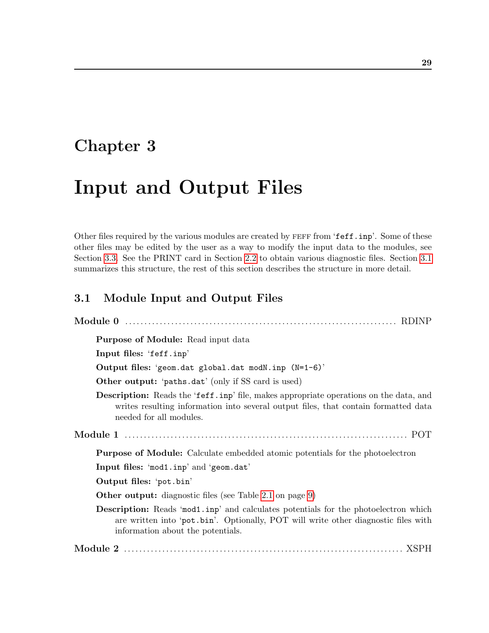# <span id="page-33-0"></span>Chapter 3

# Input and Output Files

Other files required by the various modules are created by FEFF from 'feff.inp'. Some of these other files may be edited by the user as a way to modify the input data to the modules, see Section [3.3.](#page-38-0) See the PRINT card in Section [2.2](#page-11-0) to obtain various diagnostic files. Section [3.1](#page-33-1) summarizes this structure, the rest of this section describes the structure in more detail.

## <span id="page-33-1"></span>3.1 Module Input and Output Files

| <b>Purpose of Module:</b> Read input data                                                                                                                                                                             |
|-----------------------------------------------------------------------------------------------------------------------------------------------------------------------------------------------------------------------|
| Input files: 'feff.inp'                                                                                                                                                                                               |
| Output files: 'geom.dat global.dat modN.inp (N=1-6)'                                                                                                                                                                  |
| <b>Other output:</b> 'paths.dat' (only if SS card is used)                                                                                                                                                            |
| <b>Description:</b> Reads the 'feff.inp' file, makes appropriate operations on the data, and<br>writes resulting information into several output files, that contain formatted data<br>needed for all modules.        |
|                                                                                                                                                                                                                       |
| <b>Purpose of Module:</b> Calculate embedded atomic potentials for the photoelectron                                                                                                                                  |
| Input files: 'mod1.inp' and 'geom.dat'                                                                                                                                                                                |
| Output files: 'pot.bin'                                                                                                                                                                                               |
| <b>Other output:</b> diagnostic files (see Table 2.1 on page 9)                                                                                                                                                       |
| <b>Description:</b> Reads 'mod1.inp' and calculates potentials for the photoelectron which<br>are written into 'pot.bin'. Optionally, POT will write other diagnostic files with<br>information about the potentials. |
|                                                                                                                                                                                                                       |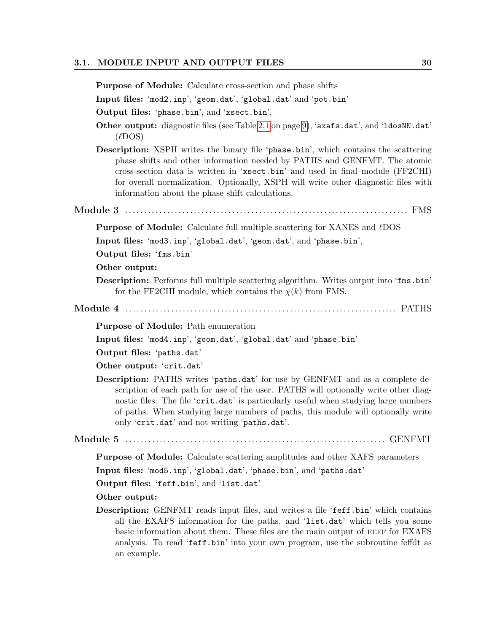#### 3.1. MODULE INPUT AND OUTPUT FILES 30

Purpose of Module: Calculate cross-section and phase shifts Input files: 'mod2.inp', 'geom.dat', 'global.dat' and 'pot.bin' Output files: 'phase.bin', and 'xsect.bin', Other output: diagnostic files (see Table [2.1](#page-13-0) on page [9\)](#page-13-0), 'axafs.dat', and 'ldosNN.dat'  $(\ell$ DOS) Description: XSPH writes the binary file 'phase.bin', which contains the scattering phase shifts and other information needed by PATHS and GENFMT. The atomic cross-section data is written in 'xsect.bin' and used in final module (FF2CHI) for overall normalization. Optionally, XSPH will write other diagnostic files with information about the phase shift calculations. Module 3 . . . . . . . . . . . . . . . . . . . . . . . . . . . . . . . . . . . . . . . . . . . . . . . . . . . . . . . . . . . . . . . . . . . . . . . . . . FMS **Purpose of Module:** Calculate full multiple scattering for XANES and  $\ell$ DOS Input files: 'mod3.inp', 'global.dat', 'geom.dat', and 'phase.bin', Output files: 'fms.bin' Other output: Description: Performs full multiple scattering algorithm. Writes output into 'fms.bin' for the FF2CHI module, which contains the  $\chi(k)$  from FMS. Module 4 . . . . . . . . . . . . . . . . . . . . . . . . . . . . . . . . . . . . . . . . . . . . . . . . . . . . . . . . . . . . . . . . . . . . . . . PATHS Purpose of Module: Path enumeration Input files: 'mod4.inp', 'geom.dat', 'global.dat' and 'phase.bin' Output files: 'paths.dat' Other output: 'crit.dat' Description: PATHS writes 'paths.dat' for use by GENFMT and as a complete description of each path for use of the user. PATHS will optionally write other diagnostic files. The file 'crit.dat' is particularly useful when studying large numbers of paths. When studying large numbers of paths, this module will optionally write only 'crit.dat' and not writing 'paths.dat'. Module 5 . . . . . . . . . . . . . . . . . . . . . . . . . . . . . . . . . . . . . . . . . . . . . . . . . . . . . . . . . . . . . . . . . . . . GENFMT Purpose of Module: Calculate scattering amplitudes and other XAFS parameters Input files: 'mod5.inp', 'global.dat', 'phase.bin', and 'paths.dat' Output files: 'feff.bin', and 'list.dat' Other output: Description: GENFMT reads input files, and writes a file 'feff.bin' which contains all the EXAFS information for the paths, and 'list.dat' which tells you some basic information about them. These files are the main output of FEFF for EXAFS analysis. To read 'feff.bin' into your own program, use the subroutine feffdt as an example.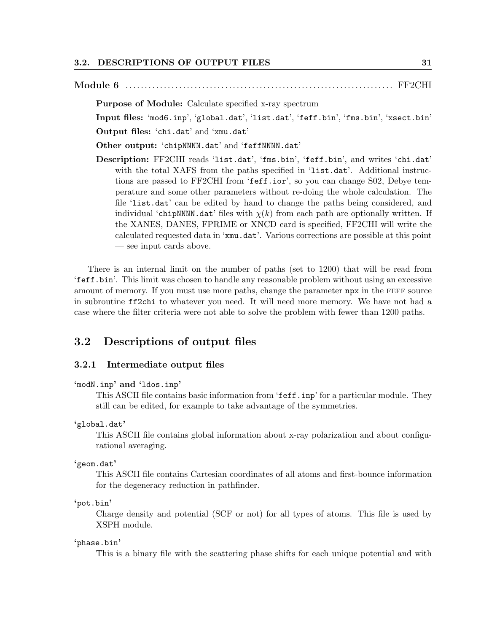Module 6 . . . . . . . . . . . . . . . . . . . . . . . . . . . . . . . . . . . . . . . . . . . . . . . . . . . . . . . . . . . . . . . . . . . . . . FF2CHI Purpose of Module: Calculate specified x-ray spectrum Input files: 'mod6.inp', 'global.dat', 'list.dat', 'feff.bin', 'fms.bin', 'xsect.bin' Output files: 'chi.dat' and 'xmu.dat' Other output: 'chipNNNN.dat' and 'feffNNNN.dat' Description: FF2CHI reads 'list.dat', 'fms.bin', 'feff.bin', and writes 'chi.dat' with the total XAFS from the paths specified in 'list.dat'. Additional instructions are passed to FF2CHI from 'feff.ior', so you can change S02, Debye temperature and some other parameters without re-doing the whole calculation. The file 'list.dat' can be edited by hand to change the paths being considered, and individual 'chipNNNN.dat' files with  $\chi(k)$  from each path are optionally written. If the XANES, DANES, FPRIME or XNCD card is specified, FF2CHI will write the calculated requested data in 'xmu.dat'. Various corrections are possible at this point — see input cards above.

There is an internal limit on the number of paths (set to 1200) that will be read from 'feff.bin'. This limit was chosen to handle any reasonable problem without using an excessive amount of memory. If you must use more paths, change the parameter npx in the FEFF source in subroutine ff2chi to whatever you need. It will need more memory. We have not had a case where the filter criteria were not able to solve the problem with fewer than 1200 paths.

## <span id="page-35-0"></span>3.2 Descriptions of output files

#### <span id="page-35-1"></span>3.2.1 Intermediate output files

```
'modN.inp' and 'ldos.inp'
```
This ASCII file contains basic information from 'feff.inp' for a particular module. They still can be edited, for example to take advantage of the symmetries.

#### 'global.dat'

This ASCII file contains global information about x-ray polarization and about configurational averaging.

#### 'geom.dat'

This ASCII file contains Cartesian coordinates of all atoms and first-bounce information for the degeneracy reduction in pathfinder.

#### 'pot.bin'

Charge density and potential (SCF or not) for all types of atoms. This file is used by XSPH module.

#### 'phase.bin'

This is a binary file with the scattering phase shifts for each unique potential and with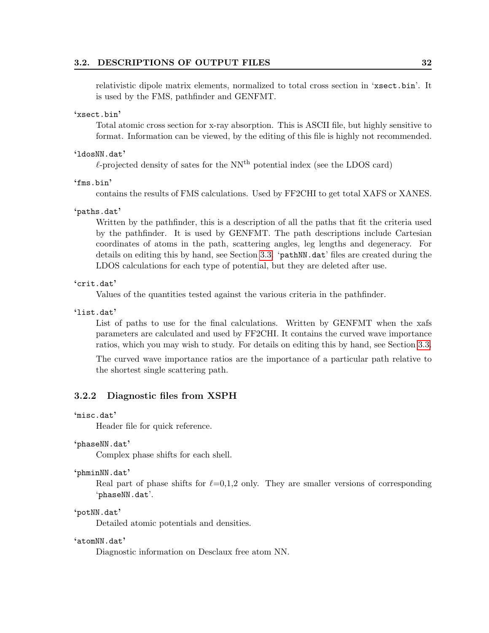#### 3.2. DESCRIPTIONS OF OUTPUT FILES 32

relativistic dipole matrix elements, normalized to total cross section in 'xsect.bin'. It is used by the FMS, pathfinder and GENFMT.

#### 'xsect.bin'

Total atomic cross section for x-ray absorption. This is ASCII file, but highly sensitive to format. Information can be viewed, by the editing of this file is highly not recommended.

#### 'ldosNN.dat'

 $\ell$ -projected density of sates for the NN<sup>th</sup> potential index (see the LDOS card)

'fms.bin'

contains the results of FMS calculations. Used by FF2CHI to get total XAFS or XANES.

#### 'paths.dat'

Written by the pathfinder, this is a description of all the paths that fit the criteria used by the pathfinder. It is used by GENFMT. The path descriptions include Cartesian coordinates of atoms in the path, scattering angles, leg lengths and degeneracy. For details on editing this by hand, see Section [3.3.](#page-38-0) 'pathNN.dat' files are created during the LDOS calculations for each type of potential, but they are deleted after use.

### 'crit.dat'

Values of the quantities tested against the various criteria in the pathfinder.

'list.dat'

List of paths to use for the final calculations. Written by GENFMT when the xafs parameters are calculated and used by FF2CHI. It contains the curved wave importance ratios, which you may wish to study. For details on editing this by hand, see Section [3.3.](#page-38-0)

The curved wave importance ratios are the importance of a particular path relative to the shortest single scattering path.

### <span id="page-36-0"></span>3.2.2 Diagnostic files from XSPH

'misc.dat'

Header file for quick reference.

#### 'phaseNN.dat'

Complex phase shifts for each shell.

#### 'phminNN.dat'

Real part of phase shifts for  $\ell=0,1,2$  only. They are smaller versions of corresponding 'phaseNN.dat'.

#### 'potNN.dat'

Detailed atomic potentials and densities.

#### 'atomNN.dat'

Diagnostic information on Desclaux free atom NN.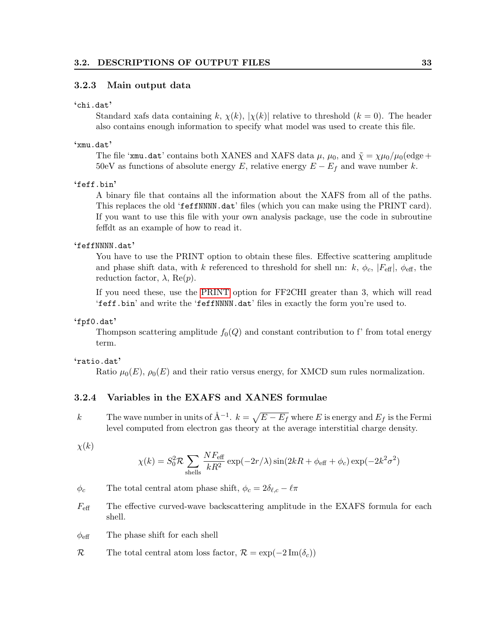### <span id="page-37-0"></span>3.2.3 Main output data

#### 'chi.dat'

Standard xafs data containing k,  $\chi(k)$ ,  $|\chi(k)|$  relative to threshold  $(k = 0)$ . The header also contains enough information to specify what model was used to create this file.

### 'xmu.dat'

The file 'xmu.dat' contains both XANES and XAFS data  $\mu$ ,  $\mu_0$ , and  $\tilde{\chi} = \chi \mu_0 / \mu_0$  (edge + 50eV as functions of absolute energy E, relative energy  $E - E_f$  and wave number k.

#### 'feff.bin'

A binary file that contains all the information about the XAFS from all of the paths. This replaces the old 'feffNNNN.dat' files (which you can make using the PRINT card). If you want to use this file with your own analysis package, use the code in subroutine feffdt as an example of how to read it.

### 'feffNNNN.dat'

You have to use the PRINT option to obtain these files. Effective scattering amplitude and phase shift data, with k referenced to threshold for shell nn: k,  $\phi_c$ ,  $|F_{\text{eff}}|$ ,  $\phi_{\text{eff}}$ , the reduction factor,  $\lambda$ , Re(p).

If you need these, use the [PRINT](#page-11-0) option for FF2CHI greater than 3, which will read 'feff.bin' and write the 'feffNNNN.dat' files in exactly the form you're used to.

#### 'fpf0.dat'

Thompson scattering amplitude  $f_0(Q)$  and constant contribution to f' from total energy term.

#### 'ratio.dat'

Ratio  $\mu_0(E)$ ,  $\rho_0(E)$  and their ratio versus energy, for XMCD sum rules normalization.

### <span id="page-37-1"></span>3.2.4 Variables in the EXAFS and XANES formulae

k The wave number in units of  $\AA^{-1}$ .  $k = \sqrt{E - E_f}$  where E is energy and  $E_f$  is the Fermi level computed from electron gas theory at the average interstitial charge density.

 $\chi(k)$ 

$$
\chi(k) = S_0^2 \mathcal{R} \sum_{\text{shells}} \frac{NF_{\text{eff}}}{kR^2} \exp(-2r/\lambda) \sin(2kR + \phi_{\text{eff}} + \phi_c) \exp(-2k^2 \sigma^2)
$$

 $\phi_c$  The total central atom phase shift,  $\phi_c = 2\delta_{\ell,c} - \ell \pi$ 

- $F_{\text{eff}}$  The effective curved-wave backscattering amplitude in the EXAFS formula for each shell.
- $\phi_{\text{eff}}$  The phase shift for each shell
- R The total central atom loss factor,  $\mathcal{R} = \exp(-2 \operatorname{Im}(\delta_c))$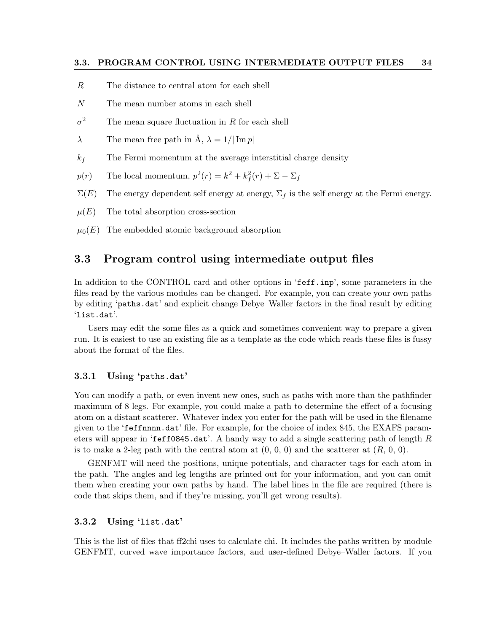- R The distance to central atom for each shell
- N The mean number atoms in each shell
- $\sigma^2$ The mean square fluctuation in  $R$  for each shell
- $\lambda$  The mean free path in  $\hat{A}$ ,  $\lambda = 1/|\operatorname{Im} p|$
- $k_f$  The Fermi momentum at the average interstitial charge density
- $p(r)$  The local momentum,  $p^2(r) = k^2 + k_f^2(r) + \Sigma \Sigma_f$
- $\Sigma(E)$  The energy dependent self energy at energy,  $\Sigma_f$  is the self energy at the Fermi energy.
- $\mu(E)$  The total absorption cross-section
- $\mu_0(E)$  The embedded atomic background absorption

### <span id="page-38-0"></span>3.3 Program control using intermediate output files

In addition to the CONTROL card and other options in 'feff.inp', some parameters in the files read by the various modules can be changed. For example, you can create your own paths by editing 'paths.dat' and explicit change Debye–Waller factors in the final result by editing 'list.dat'.

Users may edit the some files as a quick and sometimes convenient way to prepare a given run. It is easiest to use an existing file as a template as the code which reads these files is fussy about the format of the files.

### <span id="page-38-1"></span>3.3.1 Using 'paths.dat'

You can modify a path, or even invent new ones, such as paths with more than the pathfinder maximum of 8 legs. For example, you could make a path to determine the effect of a focusing atom on a distant scatterer. Whatever index you enter for the path will be used in the filename given to the 'feffnnnn.dat' file. For example, for the choice of index 845, the EXAFS parameters will appear in 'feff0845.dat'. A handy way to add a single scattering path of length  $R$ is to make a 2-leg path with the central atom at  $(0, 0, 0)$  and the scatterer at  $(R, 0, 0)$ .

GENFMT will need the positions, unique potentials, and character tags for each atom in the path. The angles and leg lengths are printed out for your information, and you can omit them when creating your own paths by hand. The label lines in the file are required (there is code that skips them, and if they're missing, you'll get wrong results).

#### <span id="page-38-2"></span>3.3.2 Using 'list.dat'

This is the list of files that ff2chi uses to calculate chi. It includes the paths written by module GENFMT, curved wave importance factors, and user-defined Debye–Waller factors. If you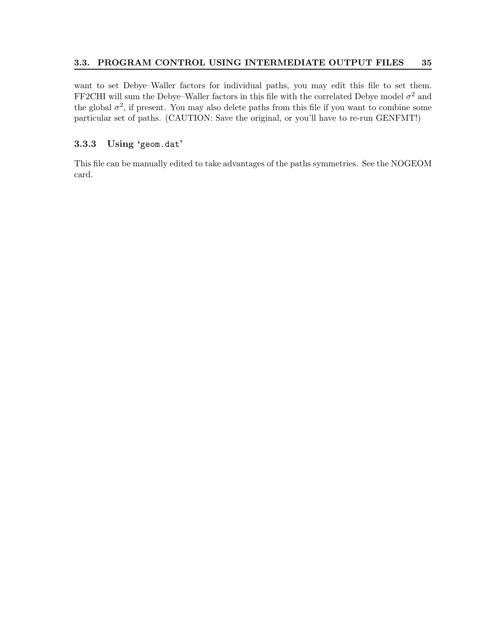### 3.3. PROGRAM CONTROL USING INTERMEDIATE OUTPUT FILES 35

want to set Debye–Waller factors for individual paths, you may edit this file to set them. FF2CHI will sum the Debye–Waller factors in this file with the correlated Debye model  $\sigma^2$  and the global  $\sigma^2$ , if present. You may also delete paths from this file if you want to combine some particular set of paths. (CAUTION: Save the original, or you'll have to re-run GENFMT!)

### <span id="page-39-0"></span>3.3.3 Using 'geom.dat'

This file can be manually edited to take advantages of the paths symmetries. See the NOGEOM card.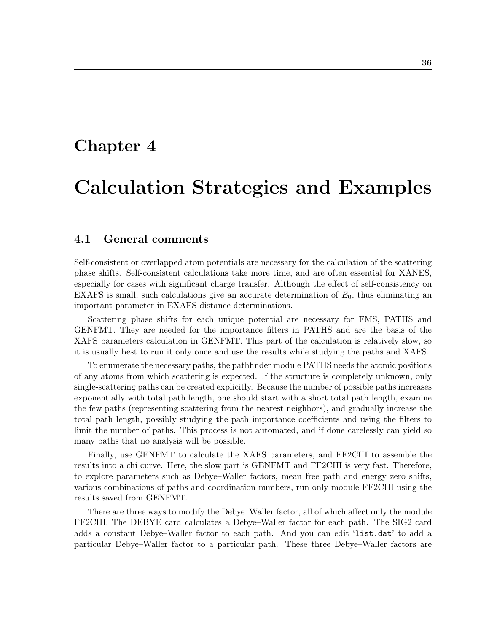# <span id="page-40-0"></span>Chapter 4

# Calculation Strategies and Examples

### <span id="page-40-1"></span>4.1 General comments

Self-consistent or overlapped atom potentials are necessary for the calculation of the scattering phase shifts. Self-consistent calculations take more time, and are often essential for XANES, especially for cases with significant charge transfer. Although the effect of self-consistency on EXAFS is small, such calculations give an accurate determination of  $E_0$ , thus eliminating an important parameter in EXAFS distance determinations.

Scattering phase shifts for each unique potential are necessary for FMS, PATHS and GENFMT. They are needed for the importance filters in PATHS and are the basis of the XAFS parameters calculation in GENFMT. This part of the calculation is relatively slow, so it is usually best to run it only once and use the results while studying the paths and XAFS.

To enumerate the necessary paths, the pathfinder module PATHS needs the atomic positions of any atoms from which scattering is expected. If the structure is completely unknown, only single-scattering paths can be created explicitly. Because the number of possible paths increases exponentially with total path length, one should start with a short total path length, examine the few paths (representing scattering from the nearest neighbors), and gradually increase the total path length, possibly studying the path importance coefficients and using the filters to limit the number of paths. This process is not automated, and if done carelessly can yield so many paths that no analysis will be possible.

Finally, use GENFMT to calculate the XAFS parameters, and FF2CHI to assemble the results into a chi curve. Here, the slow part is GENFMT and FF2CHI is very fast. Therefore, to explore parameters such as Debye–Waller factors, mean free path and energy zero shifts, various combinations of paths and coordination numbers, run only module FF2CHI using the results saved from GENFMT.

There are three ways to modify the Debye–Waller factor, all of which affect only the module FF2CHI. The DEBYE card calculates a Debye–Waller factor for each path. The SIG2 card adds a constant Debye–Waller factor to each path. And you can edit 'list.dat' to add a particular Debye–Waller factor to a particular path. These three Debye–Waller factors are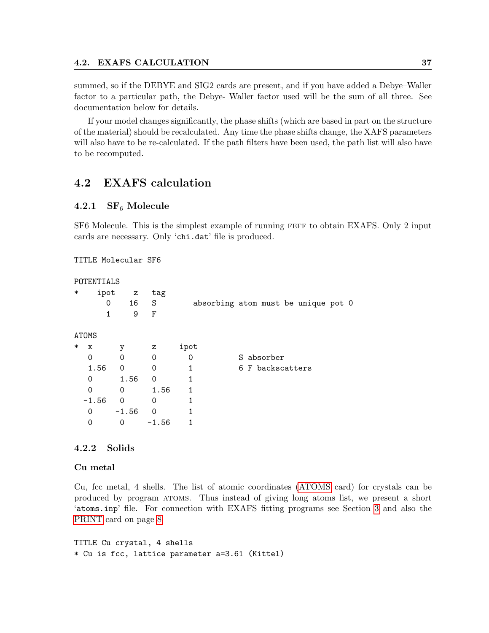summed, so if the DEBYE and SIG2 cards are present, and if you have added a Debye–Waller factor to a particular path, the Debye- Waller factor used will be the sum of all three. See documentation below for details.

If your model changes significantly, the phase shifts (which are based in part on the structure of the material) should be recalculated. Any time the phase shifts change, the XAFS parameters will also have to be re-calculated. If the path filters have been used, the path list will also have to be recomputed.

## <span id="page-41-0"></span>4.2 EXAFS calculation

### <span id="page-41-1"></span>4.2.1  $SF_6$  Molecule

SF6 Molecule. This is the simplest example of running feff to obtain EXAFS. Only 2 input cards are necessary. Only 'chi.dat' file is produced.

TITLE Molecular SF6

```
POTENTIALS
```

| $\ast$ | ipot         | $\mathbf{z}$ | tag      |          |                                     |
|--------|--------------|--------------|----------|----------|-------------------------------------|
|        | 0            | 16           | S        |          | absorbing atom must be unique pot 0 |
|        | 1            | 9            | F        |          |                                     |
|        | <b>ATOMS</b> |              |          |          |                                     |
| $\ast$ | x            | у            | z        | ipot     |                                     |
|        | 0            | 0            | 0        | $\Omega$ | S absorber                          |
|        | 1.56         | 0            | 0        | 1        | 6 F backscatters                    |
|        | 0            | 1.56         | $\Omega$ | 1        |                                     |
|        | 0            | 0            | 1.56     | 1        |                                     |
|        | $-1.56$      | $\Omega$     | 0        |          |                                     |
|        | 0            | $-1.56$      | $\Omega$ |          |                                     |
|        | 0            | 0            | $-1.56$  |          |                                     |
|        |              |              |          |          |                                     |

### <span id="page-41-2"></span>4.2.2 Solids

Cu metal

Cu, fcc metal, 4 shells. The list of atomic coordinates [\(ATOMS](#page-11-0) card) for crystals can be produced by program atoms. Thus instead of giving long atoms list, we present a short 'atoms.inp' file. For connection with EXAFS fitting programs see Section [3](#page-33-0) and also the [PRINT](#page-11-0) card on page [8.](#page-11-0)

TITLE Cu crystal, 4 shells \* Cu is fcc, lattice parameter a=3.61 (Kittel)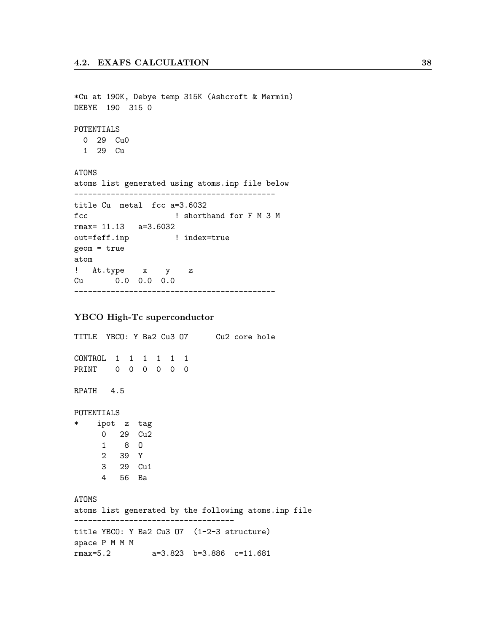\*Cu at 190K, Debye temp 315K (Ashcroft & Mermin) DEBYE 190 315 0 POTENTIALS 0 29 Cu0 1 29 Cu ATOMS atoms list generated using atoms.inp file below ------------------------------------------- title Cu metal fcc a=3.6032 fcc  $\qquad$  ! shorthand for F M 3 M rmax= 11.13 a=3.6032 out=feff.inp ! index=true geom = true atom ! At.type x y z Cu 0.0 0.0 0.0 --------------------------------------------

#### YBCO High-Tc superconductor

TITLE YBCO: Y Ba2 Cu3 O7 Cu2 core hole CONTROL 1 1 1 1 1 1 PRINT 0 0 0 0 0 0 RPATH 4.5 POTENTIALS \* ipot z tag 0 29 Cu2 1 8 O 2 39 Y 3 29 Cu1 4 56 Ba ATOMS atoms list generated by the following atoms.inp file ---------------------------------- title YBCO: Y Ba2 Cu3 O7 (1-2-3 structure) space P M M M rmax=5.2 a=3.823 b=3.886 c=11.681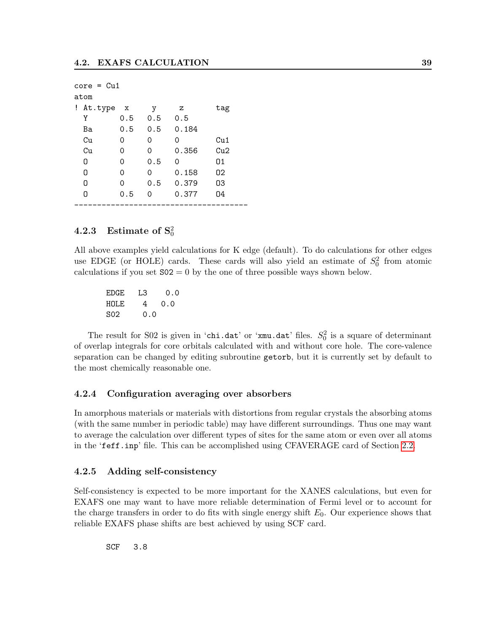| $core = Cu1$ |          |     |       |     |  |  |  |  |
|--------------|----------|-----|-------|-----|--|--|--|--|
| atom         |          |     |       |     |  |  |  |  |
| At.type<br>Ţ | x        | у   | z     | tag |  |  |  |  |
| Υ            | 0.5      | 0.5 | 0.5   |     |  |  |  |  |
| Ba           | 0.5      | 0.5 | 0.184 |     |  |  |  |  |
| Cu           | Ω        | 0   | Ω     | Cu1 |  |  |  |  |
| Cu           | $\Omega$ | Ω   | 0.356 | Cu2 |  |  |  |  |
| n            | 0        | 0.5 | Ω     | 01  |  |  |  |  |
| n            | Ω        | Ω   | 0.158 | 02  |  |  |  |  |
| Ω            | 0        | 0.5 | 0.379 | 03  |  |  |  |  |
| N            | 0.5      | 0   | 0.377 | 04  |  |  |  |  |
|              |          |     |       |     |  |  |  |  |

## <span id="page-43-0"></span> $4.2.3$  Estimate of  $\mathrm{S}_0^2$

All above examples yield calculations for K edge (default). To do calculations for other edges use EDGE (or HOLE) cards. These cards will also yield an estimate of  $S_0^2$  from atomic calculations if you set  $S_02 = 0$  by the one of three possible ways shown below.

EDGE L3 0.0 HOLE 4 0.0 S02 0.0

The result for S02 is given in 'chi.dat' or 'xmu.dat' files.  $S_0^2$  is a square of determinant of overlap integrals for core orbitals calculated with and without core hole. The core-valence separation can be changed by editing subroutine getorb, but it is currently set by default to the most chemically reasonable one.

#### <span id="page-43-1"></span>4.2.4 Configuration averaging over absorbers

In amorphous materials or materials with distortions from regular crystals the absorbing atoms (with the same number in periodic table) may have different surroundings. Thus one may want to average the calculation over different types of sites for the same atom or even over all atoms in the 'feff.inp' file. This can be accomplished using CFAVERAGE card of Section [2.2.](#page-11-0)

#### <span id="page-43-2"></span>4.2.5 Adding self-consistency

Self-consistency is expected to be more important for the XANES calculations, but even for EXAFS one may want to have more reliable determination of Fermi level or to account for the charge transfers in order to do fits with single energy shift  $E_0$ . Our experience shows that reliable EXAFS phase shifts are best achieved by using SCF card.

SCF 3.8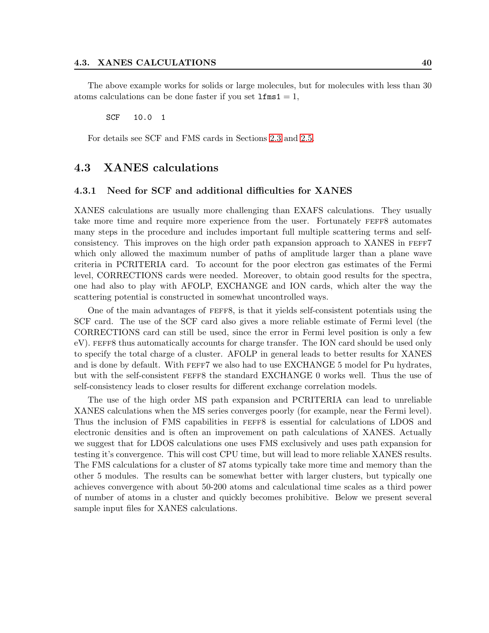The above example works for solids or large molecules, but for molecules with less than 30 atoms calculations can be done faster if you set  $lms1 = 1$ ,

SCF 10.0 1

For details see SCF and FMS cards in Sections [2.3](#page-15-0) and [2.5.](#page-25-0)

### <span id="page-44-0"></span>4.3 XANES calculations

#### <span id="page-44-1"></span>4.3.1 Need for SCF and additional difficulties for XANES

XANES calculations are usually more challenging than EXAFS calculations. They usually take more time and require more experience from the user. Fortunately FEFF8 automates many steps in the procedure and includes important full multiple scattering terms and selfconsistency. This improves on the high order path expansion approach to XANES in FEFF7 which only allowed the maximum number of paths of amplitude larger than a plane wave criteria in PCRITERIA card. To account for the poor electron gas estimates of the Fermi level, CORRECTIONS cards were needed. Moreover, to obtain good results for the spectra, one had also to play with AFOLP, EXCHANGE and ION cards, which alter the way the scattering potential is constructed in somewhat uncontrolled ways.

One of the main advantages of feff8, is that it yields self-consistent potentials using the SCF card. The use of the SCF card also gives a more reliable estimate of Fermi level (the CORRECTIONS card can still be used, since the error in Fermi level position is only a few eV). FEFF8 thus automatically accounts for charge transfer. The ION card should be used only to specify the total charge of a cluster. AFOLP in general leads to better results for XANES and is done by default. With FEFF7 we also had to use EXCHANGE 5 model for Pu hydrates, but with the self-consistent feff8 the standard EXCHANGE 0 works well. Thus the use of self-consistency leads to closer results for different exchange correlation models.

The use of the high order MS path expansion and PCRITERIA can lead to unreliable XANES calculations when the MS series converges poorly (for example, near the Fermi level). Thus the inclusion of FMS capabilities in feff8 is essential for calculations of LDOS and electronic densities and is often an improvement on path calculations of XANES. Actually we suggest that for LDOS calculations one uses FMS exclusively and uses path expansion for testing it's convergence. This will cost CPU time, but will lead to more reliable XANES results. The FMS calculations for a cluster of 87 atoms typically take more time and memory than the other 5 modules. The results can be somewhat better with larger clusters, but typically one achieves convergence with about 50-200 atoms and calculational time scales as a third power of number of atoms in a cluster and quickly becomes prohibitive. Below we present several sample input files for XANES calculations.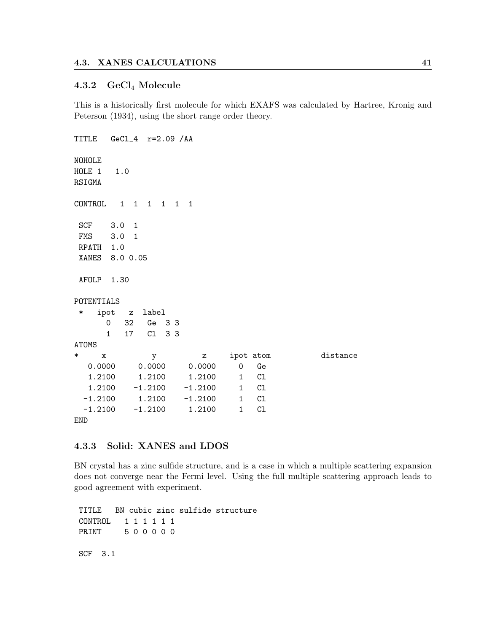#### <span id="page-45-0"></span>4.3.2 GeCl<sup>4</sup> Molecule

This is a historically first molecule for which EXAFS was calculated by Hartree, Kronig and Peterson (1934), using the short range order theory.

```
TITLE GeCl_4 r=2.09 /AA
NOHOLE
HOLE 1 1.0
RSIGMA
CONTROL 1 1 1 1 1 1
SCF 3.0 1
FMS 3.0 1
RPATH 1.0
XANES 8.0 0.05
AFOLP 1.30
POTENTIALS
* ipot z label
     0 32 Ge 3 3
     1 17 Cl 3 3
ATOMS
* x y z ipot atom distance
  0.0000 0.0000 0.0000 0 Ge
  1.2100 1.2100 1.2100 1 Cl
  1.2100 -1.2100 -1.2100 1 Cl
 -1.2100 1.2100 -1.2100 1 Cl
 -1.2100 -1.2100 1.2100 1 Cl
END
```
### <span id="page-45-1"></span>4.3.3 Solid: XANES and LDOS

BN crystal has a zinc sulfide structure, and is a case in which a multiple scattering expansion does not converge near the Fermi level. Using the full multiple scattering approach leads to good agreement with experiment.

TITLE BN cubic zinc sulfide structure CONTROL 1 1 1 1 1 1 PRINT 5 0 0 0 0 0 SCF 3.1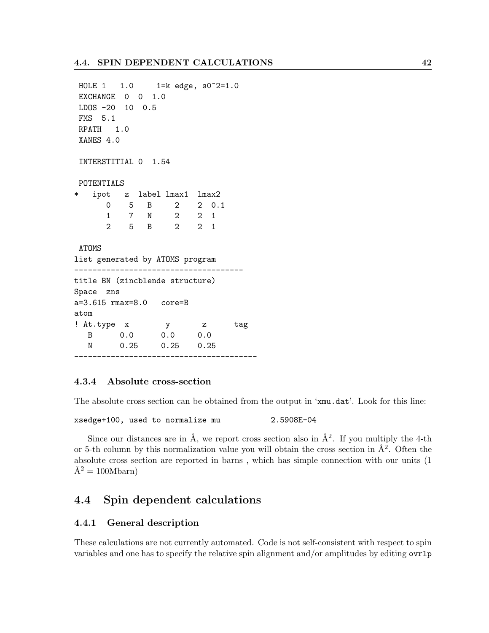```
HOLE 1 1.0 1=k edge, s0^2=1.0
EXCHANGE 0 0 1.0
LDOS -20 10 0.5
FMS 5.1
RPATH 1.0
XANES 4.0
INTERSTITIAL 0 1.54
POTENTIALS
   ipot z label lmax1 lmax2
     0 5 B 2 2 0.1
      1 7 N 2 2 1
      2 5 B 2 2 1
ATOMS
list generated by ATOMS program
-------------------------------------
title BN (zincblende structure)
Space zns
a=3.615 rmax=8.0 core=B
atom
! At.type x y z tag
  B 0.0 0.0 0.0
  N 0.25 0.25 0.25
----------------------------------------
```
### <span id="page-46-0"></span>4.3.4 Absolute cross-section

The absolute cross section can be obtained from the output in 'xmu.dat'. Look for this line:

xsedge+100, used to normalize mu 2.5908E-04

Since our distances are in  $\AA$ , we report cross section also in  $\AA^2$ . If you multiply the 4-th or 5-th column by this normalization value you will obtain the cross section in  $\AA^2$ . Often the absolute cross section are reported in barns , which has simple connection with our units (1  $\AA^2 = 100Mbar$ n

## <span id="page-46-1"></span>4.4 Spin dependent calculations

#### <span id="page-46-2"></span>4.4.1 General description

These calculations are not currently automated. Code is not self-consistent with respect to spin variables and one has to specify the relative spin alignment and/or amplitudes by editing ovrlp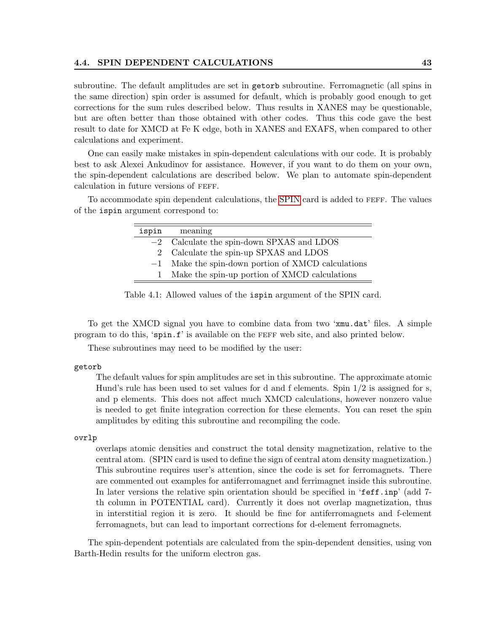subroutine. The default amplitudes are set in getorb subroutine. Ferromagnetic (all spins in the same direction) spin order is assumed for default, which is probably good enough to get corrections for the sum rules described below. Thus results in XANES may be questionable, but are often better than those obtained with other codes. Thus this code gave the best result to date for XMCD at Fe K edge, both in XANES and EXAFS, when compared to other calculations and experiment.

One can easily make mistakes in spin-dependent calculations with our code. It is probably best to ask Alexei Ankudinov for assistance. However, if you want to do them on your own, the spin-dependent calculations are described below. We plan to automate spin-dependent calculation in future versions of feff.

To accommodate spin dependent calculations, the [SPIN](#page-17-0) card is added to feff. The values of the ispin argument correspond to:

| ispin        | meaning                                              |
|--------------|------------------------------------------------------|
|              | $-2$ Calculate the spin-down SPXAS and LDOS          |
| $2^{\circ}$  | Calculate the spin-up SPXAS and LDOS                 |
|              | $-1$ Make the spin-down portion of XMCD calculations |
| $\mathbf{1}$ | Make the spin-up portion of XMCD calculations        |
|              |                                                      |

Table 4.1: Allowed values of the ispin argument of the SPIN card.

To get the XMCD signal you have to combine data from two 'xmu.dat' files. A simple program to do this, 'spin.f' is available on the feff web site, and also printed below.

These subroutines may need to be modified by the user:

#### getorb

The default values for spin amplitudes are set in this subroutine. The approximate atomic Hund's rule has been used to set values for d and f elements. Spin 1/2 is assigned for s, and p elements. This does not affect much XMCD calculations, however nonzero value is needed to get finite integration correction for these elements. You can reset the spin amplitudes by editing this subroutine and recompiling the code.

#### ovrlp

overlaps atomic densities and construct the total density magnetization, relative to the central atom. (SPIN card is used to define the sign of central atom density magnetization.) This subroutine requires user's attention, since the code is set for ferromagnets. There are commented out examples for antiferromagnet and ferrimagnet inside this subroutine. In later versions the relative spin orientation should be specified in 'feff.inp' (add 7 th column in POTENTIAL card). Currently it does not overlap magnetization, thus in interstitial region it is zero. It should be fine for antiferromagnets and f-element ferromagnets, but can lead to important corrections for d-element ferromagnets.

The spin-dependent potentials are calculated from the spin-dependent densities, using von Barth-Hedin results for the uniform electron gas.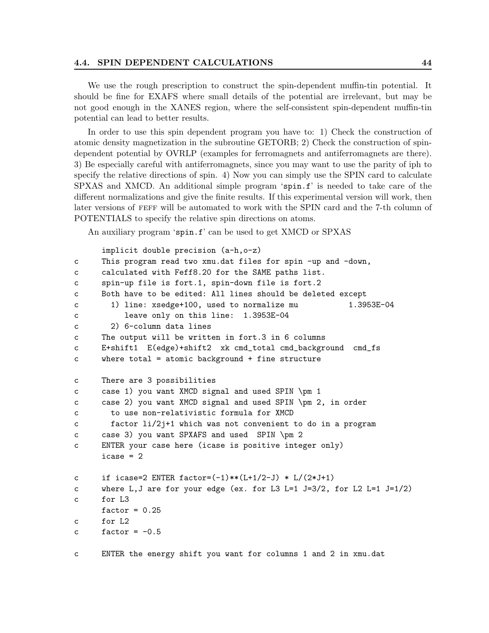#### 4.4. SPIN DEPENDENT CALCULATIONS 44

We use the rough prescription to construct the spin-dependent muffin-tin potential. It should be fine for EXAFS where small details of the potential are irrelevant, but may be not good enough in the XANES region, where the self-consistent spin-dependent muffin-tin potential can lead to better results.

In order to use this spin dependent program you have to: 1) Check the construction of atomic density magnetization in the subroutine GETORB; 2) Check the construction of spindependent potential by OVRLP (examples for ferromagnets and antiferromagnets are there). 3) Be especially careful with antiferromagnets, since you may want to use the parity of iph to specify the relative directions of spin. 4) Now you can simply use the SPIN card to calculate SPXAS and XMCD. An additional simple program 'spin.f' is needed to take care of the different normalizations and give the finite results. If this experimental version will work, then later versions of FEFF will be automated to work with the SPIN card and the 7-th column of POTENTIALS to specify the relative spin directions on atoms.

An auxiliary program 'spin.f' can be used to get XMCD or SPXAS

```
implicit double precision (a-h,o-z)
c This program read two xmu.dat files for spin -up and -down,
c calculated with Feff8.20 for the SAME paths list.
c spin-up file is fort.1, spin-down file is fort.2
c Both have to be edited: All lines should be deleted except
c 1) line: xsedge+100, used to normalize mu 1.3953E-04
c leave only on this line: 1.3953E-04
c 2) 6-column data lines
c The output will be written in fort.3 in 6 columns
c E+shift1 E(edge)+shift2 xk cmd_total cmd_background cmd_fs
c where total = atomic background + fine structure
c There are 3 possibilities
c case 1) you want XMCD signal and used SPIN \pm 1
c case 2) you want XMCD signal and used SPIN \pm 2, in order
c to use non-relativistic formula for XMCD
c factor li/2j+1 which was not convenient to do in a program
c case 3) you want SPXAFS and used SPIN \pm 2
c ENTER your case here (icase is positive integer only)
     icase = 2c if icase=2 ENTER factor=(-1)**(L+1/2-J) * L/(2*J+1)c where L,J are for your edge (ex. for L3 L=1 J=3/2, for L2 L=1 J=1/2)
c for L3
     factor = 0.25c for L2
c factor = -0.5c ENTER the energy shift you want for columns 1 and 2 in xmu.dat
```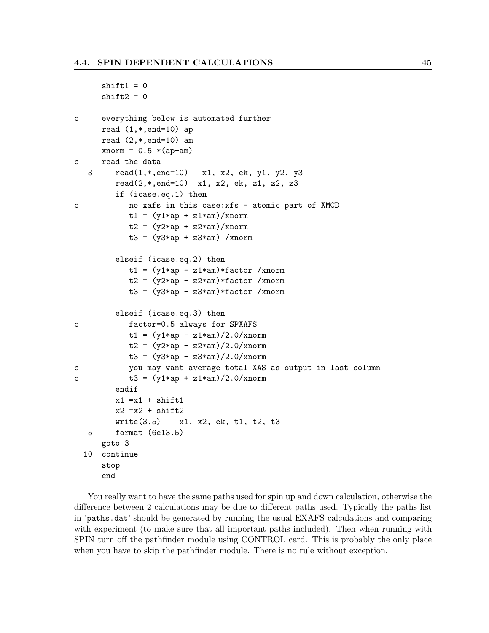```
shift1 = 0shift2 = 0c everything below is automated further
     read (1, * , end=10) ap
     read (2,*,end=10) am
     xnorm = 0.5 *(ap+am)
c read the data
   3 read(1,*,end=10) x1, x2, ek, y1, y2, y3
        read(2,*,end=10) x1, x2, ek, z1, z2, z3
        if (icase.eq.1) then
c no xafs in this case:xfs - atomic part of XMCD
           t1 = (y1*ap + z1*am)/xnormt2 = (y2 * ap + z2 * am) / xnormt3 = (y3*ap + z3*am) /xnorm
        elseif (icase.eq.2) then
           t1 = (y1*ap - z1*am)*factor /xnormt2 = (y2*ap - z2*am)*factor /xnormt3 = (y3*ap - z3*am)*factor/xnorm
        elseif (icase.eq.3) then
c factor=0.5 always for SPXAFS
           t1 = (y1 * ap - z1 * am)/2.0/xnormt2 = (y2 * ap - z2 * am)/2.0/xnormt3 = (y3*ap - z3*am)/2.0/xnormc you may want average total XAS as output in last column
c t3 = (y1*ap + z1*am)/2.0/xnormendif
        x1 = x1 + shift1x2 = x2 + shift2write(3,5) x1, x2, ek, t1, t2, t3
  5 format (6e13.5)
     goto 3
  10 continue
     stop
     end
```
You really want to have the same paths used for spin up and down calculation, otherwise the difference between 2 calculations may be due to different paths used. Typically the paths list in 'paths.dat' should be generated by running the usual EXAFS calculations and comparing with experiment (to make sure that all important paths included). Then when running with SPIN turn off the pathfinder module using CONTROL card. This is probably the only place when you have to skip the pathfinder module. There is no rule without exception.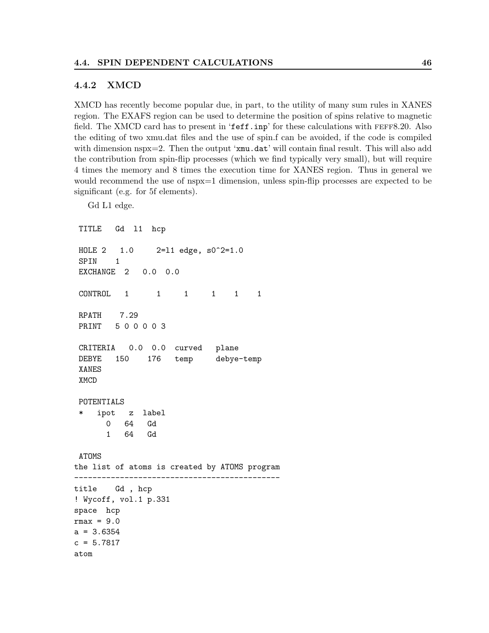#### <span id="page-50-0"></span>4.4.2 XMCD

Gd L1 edge.

XMCD has recently become popular due, in part, to the utility of many sum rules in XANES region. The EXAFS region can be used to determine the position of spins relative to magnetic field. The XMCD card has to present in 'feff.inp' for these calculations with FEFF8.20. Also the editing of two xmu.dat files and the use of spin.f can be avoided, if the code is compiled with dimension nspx=2. Then the output 'xmu.dat' will contain final result. This will also add the contribution from spin-flip processes (which we find typically very small), but will require 4 times the memory and 8 times the execution time for XANES region. Thus in general we would recommend the use of nspx=1 dimension, unless spin-flip processes are expected to be significant (e.g. for 5f elements).

TITLE Gd l1 hcp HOLE 2 1.0 2=l1 edge, s0^2=1.0 SPIN 1 EXCHANGE 2 0.0 0.0 CONTROL 1 1 1 1 1 1 RPATH 7.29 PRINT 5 0 0 0 0 3 CRITERIA 0.0 0.0 curved plane DEBYE 150 176 temp debye-temp XANES XMCD POTENTIALS ipot z label 0 64 Gd 1 64 Gd ATOMS the list of atoms is created by ATOMS program -------------------------------------------- title Gd , hcp ! Wycoff, vol.1 p.331 space hcp  $rmax = 9.0$  $a = 3.6354$  $c = 5.7817$ atom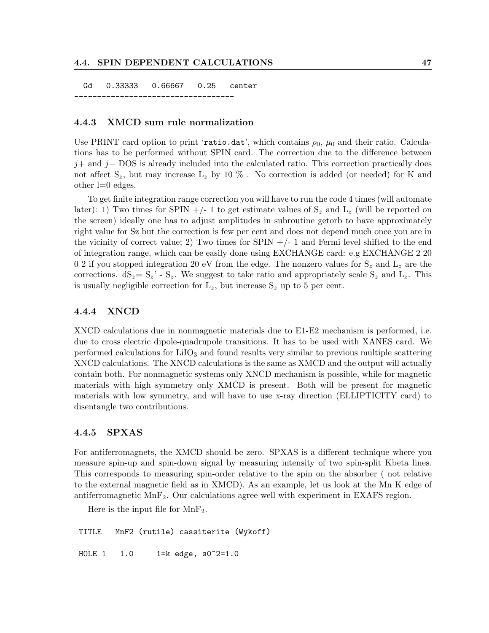#### 4.4. SPIN DEPENDENT CALCULATIONS 47

Gd 0.33333 0.66667 0.25 center -----------------------------------

#### <span id="page-51-0"></span>4.4.3 XMCD sum rule normalization

Use PRINT card option to print 'ratio.dat', which contains  $\rho_0$ ,  $\mu_0$  and their ratio. Calculations has to be performed without SPIN card. The correction due to the difference between  $j+$  and  $j-$  DOS is already included into the calculated ratio. This correction practically does not affect  $S_z$ , but may increase  $L_z$  by 10 %. No correction is added (or needed) for K and other l=0 edges.

To get finite integration range correction you will have to run the code 4 times (will automate later): 1) Two times for SPIN +/- 1 to get estimate values of  $S_z$  and  $L_z$  (will be reported on the screen) ideally one has to adjust amplitudes in subroutine getorb to have approximately right value for Sz but the correction is few per cent and does not depend much once you are in the vicinity of correct value; 2) Two times for  $SPIN +/-1$  and Fermi level shifted to the end of integration range, which can be easily done using EXCHANGE card: e.g EXCHANGE 2 20 0 2 if you stopped integration 20 eV from the edge. The nonzero values for  $S_z$  and  $L_z$  are the corrections.  $dS_z = S_z' - S_z$ . We suggest to take ratio and appropriately scale  $S_z$  and  $L_z$ . This is usually negligible correction for  $L_z$ , but increase  $S_z$  up to 5 per cent.

#### <span id="page-51-1"></span>4.4.4 XNCD

XNCD calculations due in nonmagnetic materials due to E1-E2 mechanism is performed, i.e. due to cross electric dipole-quadrupole transitions. It has to be used with XANES card. We performed calculations for  $LiO<sub>3</sub>$  and found results very similar to previous multiple scattering XNCD calculations. The XNCD calculations is the same as XMCD and the output will actually contain both. For nonmagnetic systems only XNCD mechanism is possible, while for magnetic materials with high symmetry only XMCD is present. Both will be present for magnetic materials with low symmetry, and will have to use x-ray direction (ELLIPTICITY card) to disentangle two contributions.

#### <span id="page-51-2"></span>4.4.5 SPXAS

For antiferromagnets, the XMCD should be zero. SPXAS is a different technique where you measure spin-up and spin-down signal by measuring intensity of two spin-split Kbeta lines. This corresponds to measuring spin-order relative to the spin on the absorber ( not relative to the external magnetic field as in XMCD). As an example, let us look at the Mn K edge of antiferromagnetic  $MnF_2$ . Our calculations agree well with experiment in EXAFS region.

Here is the input file for  $MnF_2$ .

TITLE MnF2 (rutile) cassiterite (Wykoff) HOLE 1 1.0 1=k edge, s0^2=1.0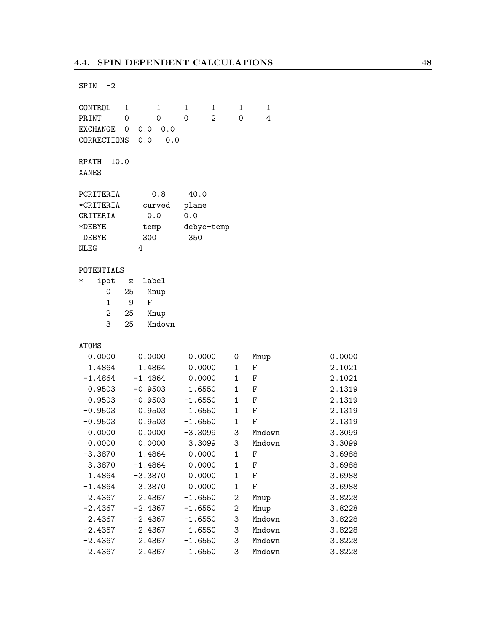$SPIN -2$ 

CONTROL 1 1 1 1 1 1 PRINT 0 0 0 2 0 4 EXCHANGE 0 0.0 0.0 CORRECTIONS 0.0 0.0 RPATH 10.0 XANES PCRITERIA 0.8 40.0 \*CRITERIA curved plane CRITERIA 0.0 0.0 \*DEBYE temp debye-temp DEBYE 300 350 NLEG 4 POTENTIALS \* ipot z label 0 25 Mnup 1 9 F 2 25 Mnup 3 25 Mndown ATOMS 0.0000 0.0000 0.0000 0 Mnup 0.0000 1.4864 1.4864 0.0000 1 F 2.1021 -1.4864 -1.4864 0.0000 1 F 2.1021 0.9503 -0.9503 1.6550 1 F 2.1319 0.9503 -0.9503 -1.6550 1 F 2.1319 -0.9503 0.9503 1.6550 1 F 2.1319 -0.9503 0.9503 -1.6550 1 F 2.1319 0.0000 0.0000 -3.3099 3 Mndown 3.3099 0.0000 0.0000 3.3099 3 Mndown 3.3099 -3.3870 1.4864 0.0000 1 F 3.6988 3.3870 -1.4864 0.0000 1 F 3.6988 1.4864 -3.3870 0.0000 1 F 3.6988 -1.4864 3.3870 0.0000 1 F 3.6988 2.4367 2.4367 -1.6550 2 Mnup 3.8228 -2.4367 -2.4367 -1.6550 2 Mnup 3.8228 2.4367 -2.4367 -1.6550 3 Mndown 3.8228 -2.4367 -2.4367 1.6550 3 Mndown 3.8228 -2.4367 2.4367 -1.6550 3 Mndown 3.8228 2.4367 2.4367 1.6550 3 Mndown 3.8228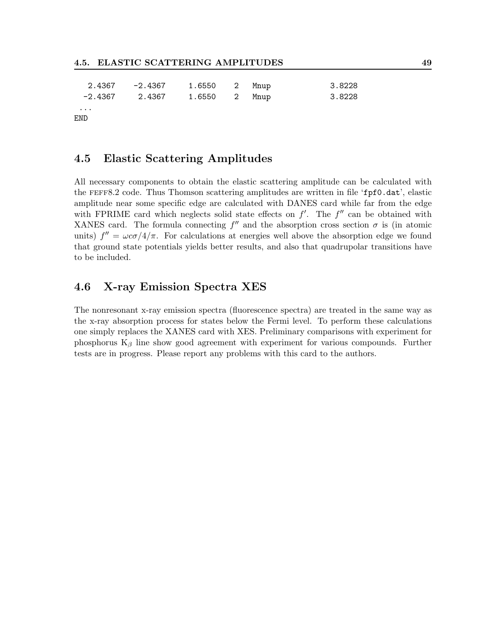| 2.4367   | -2.4367 | 1.6550 2 Mnup |  | 3.8228 |
|----------|---------|---------------|--|--------|
| -2.4367  | 2.4367  | 1.6550 2 Mnup |  | 3.8228 |
| $\cdots$ |         |               |  |        |
| END      |         |               |  |        |

### <span id="page-53-0"></span>4.5 Elastic Scattering Amplitudes

All necessary components to obtain the elastic scattering amplitude can be calculated with the feff8.2 code. Thus Thomson scattering amplitudes are written in file 'fpf0.dat', elastic amplitude near some specific edge are calculated with DANES card while far from the edge with FPRIME card which neglects solid state effects on  $f'$ . The  $f''$  can be obtained with XANES card. The formula connecting  $f''$  and the absorption cross section  $\sigma$  is (in atomic units)  $f'' = \omega c \sigma / 4/\pi$ . For calculations at energies well above the absorption edge we found that ground state potentials yields better results, and also that quadrupolar transitions have to be included.

## <span id="page-53-1"></span>4.6 X-ray Emission Spectra XES

The nonresonant x-ray emission spectra (fluorescence spectra) are treated in the same way as the x-ray absorption process for states below the Fermi level. To perform these calculations one simply replaces the XANES card with XES. Preliminary comparisons with experiment for phosphorus  $K_\beta$  line show good agreement with experiment for various compounds. Further tests are in progress. Please report any problems with this card to the authors.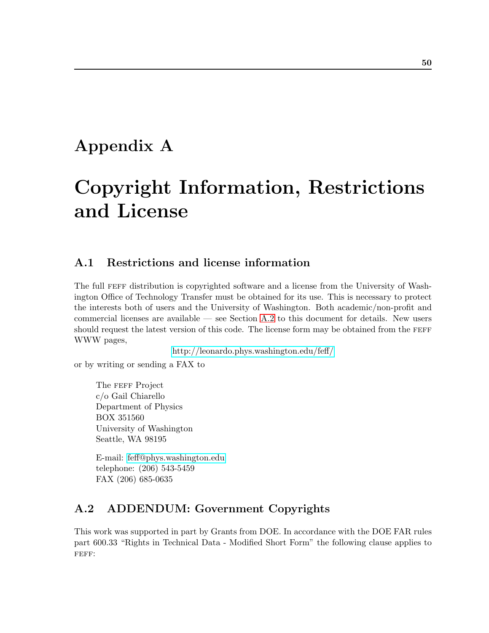# <span id="page-54-0"></span>Appendix A

# Copyright Information, Restrictions and License

## <span id="page-54-1"></span>A.1 Restrictions and license information

The full FEFF distribution is copyrighted software and a license from the University of Washington Office of Technology Transfer must be obtained for its use. This is necessary to protect the interests both of users and the University of Washington. Both academic/non-profit and commercial licenses are available — see Section [A.2](#page-54-2) to this document for details. New users should request the latest version of this code. The license form may be obtained from the FEFF WWW pages,

<http://leonardo.phys.washington.edu/feff/>

or by writing or sending a FAX to

The FEFF Project c/o Gail Chiarello Department of Physics BOX 351560 University of Washington Seattle, WA 98195

E-mail: [feff@phys.washington.edu](mailto:feff@phys.washington.edu) telephone: (206) 543-5459 FAX (206) 685-0635

## <span id="page-54-2"></span>A.2 ADDENDUM: Government Copyrights

This work was supported in part by Grants from DOE. In accordance with the DOE FAR rules part 600.33 "Rights in Technical Data - Modified Short Form" the following clause applies to FEFF: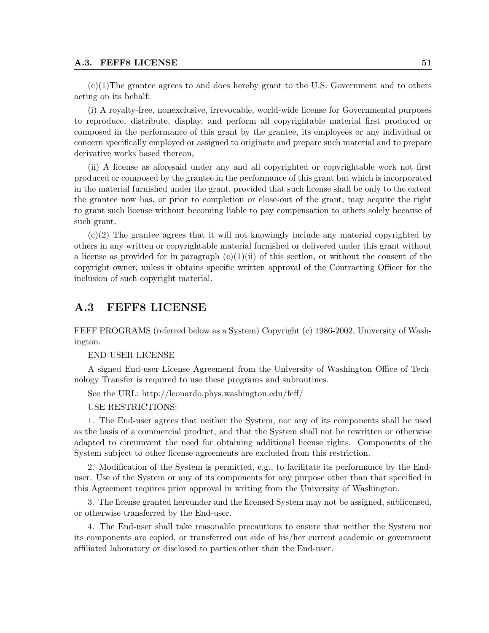#### A.3. FEFF8 LICENSE 51

 $(c)(1)$ The grantee agrees to and does hereby grant to the U.S. Government and to others acting on its behalf:

(i) A royalty-free, nonexclusive, irrevocable, world-wide license for Governmental purposes to reproduce, distribute, display, and perform all copyrightable material first produced or composed in the performance of this grant by the grantee, its employees or any individual or concern specifically employed or assigned to originate and prepare such material and to prepare derivative works based thereon,

(ii) A license as aforesaid under any and all copyrighted or copyrightable work not first produced or composed by the grantee in the performance of this grant but which is incorporated in the material furnished under the grant, provided that such license shall be only to the extent the grantee now has, or prior to completion or close-out of the grant, may acquire the right to grant such license without becoming liable to pay compensation to others solely because of such grant.

(c)(2) The grantee agrees that it will not knowingly include any material copyrighted by others in any written or copyrightable material furnished or delivered under this grant without a license as provided for in paragraph  $(c)(1)(ii)$  of this section, or without the consent of the copyright owner, unless it obtains specific written approval of the Contracting Officer for the inclusion of such copyright material.

## <span id="page-55-0"></span>A.3 FEFF8 LICENSE

FEFF PROGRAMS (referred below as a System) Copyright (c) 1986-2002, University of Washington.

#### END-USER LICENSE

A signed End-user License Agreement from the University of Washington Office of Technology Transfer is required to use these programs and subroutines.

See the URL: http://leonardo.phys.washington.edu/feff/

USE RESTRICTIONS:

1. The End-user agrees that neither the System, nor any of its components shall be used as the basis of a commercial product, and that the System shall not be rewritten or otherwise adapted to circumvent the need for obtaining additional license rights. Components of the System subject to other license agreements are excluded from this restriction.

2. Modification of the System is permitted, e.g., to facilitate its performance by the Enduser. Use of the System or any of its components for any purpose other than that specified in this Agreement requires prior approval in writing from the University of Washington.

3. The license granted hereunder and the licensed System may not be assigned, sublicensed, or otherwise transferred by the End-user.

4. The End-user shall take reasonable precautions to ensure that neither the System nor its components are copied, or transferred out side of his/her current academic or government affiliated laboratory or disclosed to parties other than the End-user.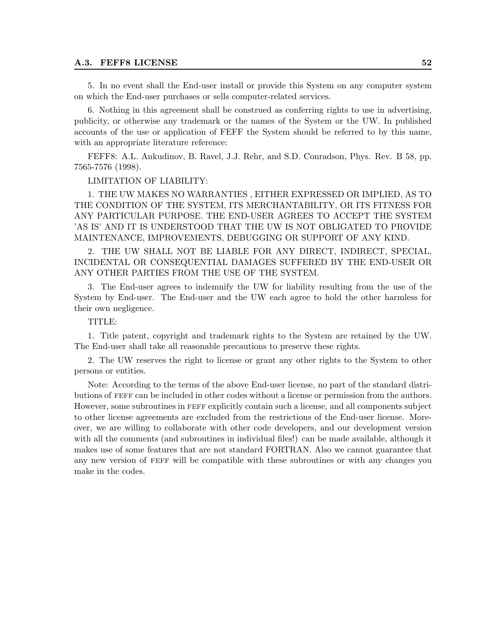#### A.3. FEFF8 LICENSE 52

5. In no event shall the End-user install or provide this System on any computer system on which the End-user purchases or sells computer-related services.

6. Nothing in this agreement shall be construed as conferring rights to use in advertising, publicity, or otherwise any trademark or the names of the System or the UW. In published accounts of the use or application of FEFF the System should be referred to by this name, with an appropriate literature reference:

FEFF8: A.L. Ankudinov, B. Ravel, J.J. Rehr, and S.D. Conradson, Phys. Rev. B 58, pp. 7565-7576 (1998).

#### LIMITATION OF LIABILITY:

1. THE UW MAKES NO WARRANTIES , EITHER EXPRESSED OR IMPLIED, AS TO THE CONDITION OF THE SYSTEM, ITS MERCHANTABILITY, OR ITS FITNESS FOR ANY PARTICULAR PURPOSE. THE END-USER AGREES TO ACCEPT THE SYSTEM 'AS IS' AND IT IS UNDERSTOOD THAT THE UW IS NOT OBLIGATED TO PROVIDE MAINTENANCE, IMPROVEMENTS, DEBUGGING OR SUPPORT OF ANY KIND.

2. THE UW SHALL NOT BE LIABLE FOR ANY DIRECT, INDIRECT, SPECIAL, INCIDENTAL OR CONSEQUENTIAL DAMAGES SUFFERED BY THE END-USER OR ANY OTHER PARTIES FROM THE USE OF THE SYSTEM.

3. The End-user agrees to indemnify the UW for liability resulting from the use of the System by End-user. The End-user and the UW each agree to hold the other harmless for their own negligence.

#### TITLE:

1. Title patent, copyright and trademark rights to the System are retained by the UW. The End-user shall take all reasonable precautions to preserve these rights.

2. The UW reserves the right to license or grant any other rights to the System to other persons or entities.

Note: According to the terms of the above End-user license, no part of the standard distributions of feff can be included in other codes without a license or permission from the authors. However, some subroutines in FEFF explicitly contain such a license, and all components subject to other license agreements are excluded from the restrictions of the End-user license. Moreover, we are willing to collaborate with other code developers, and our development version with all the comments (and subroutines in individual files!) can be made available, although it makes use of some features that are not standard FORTRAN. Also we cannot guarantee that any new version of feff will be compatible with these subroutines or with any changes you make in the codes.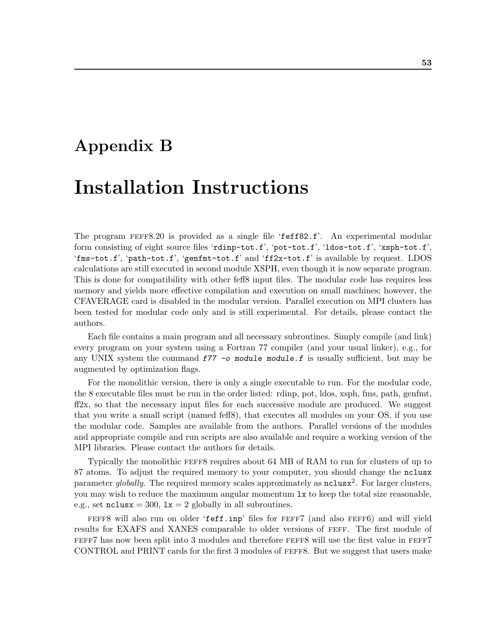# <span id="page-57-0"></span>Appendix B

# Installation Instructions

The program feff8.20 is provided as a single file 'feff82.f'. An experimental modular form consisting of eight source files 'rdinp-tot.f', 'pot-tot.f', 'ldos-tot.f', 'xsph-tot.f', 'fms-tot.f', 'path-tot.f', 'genfmt-tot.f' and 'ff2x-tot.f' is available by request. LDOS calculations are still executed in second module XSPH, even though it is now separate program. This is done for compatibility with other feff8 input files. The modular code has requires less memory and yields more effective compilation and execution on small machines; however, the CFAVERAGE card is disabled in the modular version. Parallel execution on MPI clusters has been tested for modular code only and is still experimental. For details, please contact the authors.

Each file contains a main program and all necessary subroutines. Simply compile (and link) every program on your system using a Fortran 77 compiler (and your usual linker), e.g., for any UNIX system the command  $f77$  -o module module. f is usually sufficient, but may be augmented by optimization flags.

For the monolithic version, there is only a single executable to run. For the modular code, the 8 executable files must be run in the order listed: rdinp, pot, ldos, xsph, fms, path, genfmt, ff2x, so that the necessary input files for each successive module are produced. We suggest that you write a small script (named feff8), that executes all modules on your OS, if you use the modular code. Samples are available from the authors. Parallel versions of the modules and appropriate compile and run scripts are also available and require a working version of the MPI libraries. Please contact the authors for details.

Typically the monolithic feff8 requires about 64 MB of RAM to run for clusters of up to 87 atoms. To adjust the required memory to your computer, you should change the nclusx parameter globally. The required memory scales approximately as  $nclus x^2$ . For larger clusters, you may wish to reduce the maximum angular momentum lx to keep the total size reasonable, e.g., set  $\texttt{nclusx} = 300$ ,  $\texttt{lx} = 2$  globally in all subroutines.

feff8 will also run on older 'feff.inp' files for feff7 (and also feff6) and will yield results for EXAFS and XANES comparable to older versions of feff. The first module of FEFF7 has now been split into 3 modules and therefore FEFF8 will use the first value in FEFF7 CONTROL and PRINT cards for the first 3 modules of feff8. But we suggest that users make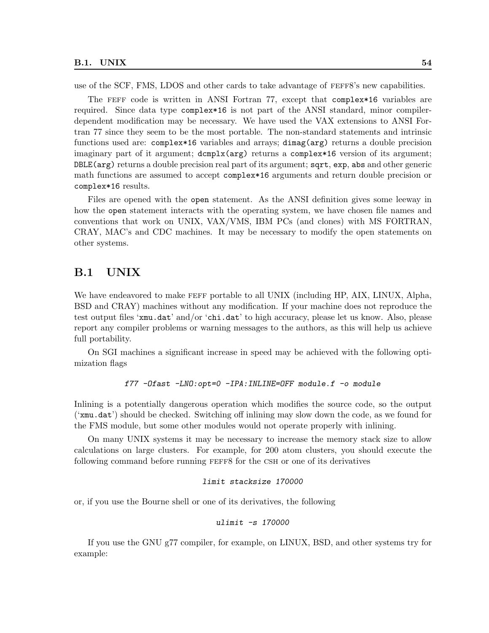use of the SCF, FMS, LDOS and other cards to take advantage of feff8's new capabilities.

The feff code is written in ANSI Fortran 77, except that complex\*16 variables are required. Since data type complex\*16 is not part of the ANSI standard, minor compilerdependent modification may be necessary. We have used the VAX extensions to ANSI Fortran 77 since they seem to be the most portable. The non-standard statements and intrinsic functions used are: complex\*16 variables and arrays; dimag(arg) returns a double precision imaginary part of it argument; dcmplx(arg) returns a complex\*16 version of its argument; DBLE(arg) returns a double precision real part of its argument; sqrt, exp, abs and other generic math functions are assumed to accept complex\*16 arguments and return double precision or complex\*16 results.

Files are opened with the open statement. As the ANSI definition gives some leeway in how the open statement interacts with the operating system, we have chosen file names and conventions that work on UNIX, VAX/VMS, IBM PCs (and clones) with MS FORTRAN, CRAY, MAC's and CDC machines. It may be necessary to modify the open statements on other systems.

### <span id="page-58-0"></span>B.1 UNIX

We have endeavored to make FEFF portable to all UNIX (including HP, AIX, LINUX, Alpha, BSD and CRAY) machines without any modification. If your machine does not reproduce the test output files 'xmu.dat' and/or 'chi.dat' to high accuracy, please let us know. Also, please report any compiler problems or warning messages to the authors, as this will help us achieve full portability.

On SGI machines a significant increase in speed may be achieved with the following optimization flags

#### f77 -Ofast -LNO:opt=0 -IPA:INLINE=OFF module.f -o module

Inlining is a potentially dangerous operation which modifies the source code, so the output ('xmu.dat') should be checked. Switching off inlining may slow down the code, as we found for the FMS module, but some other modules would not operate properly with inlining.

On many UNIX systems it may be necessary to increase the memory stack size to allow calculations on large clusters. For example, for 200 atom clusters, you should execute the following command before running FEFF8 for the CSH or one of its derivatives

#### limit stacksize 170000

or, if you use the Bourne shell or one of its derivatives, the following

#### ulimit -s 170000

If you use the GNU g77 compiler, for example, on LINUX, BSD, and other systems try for example: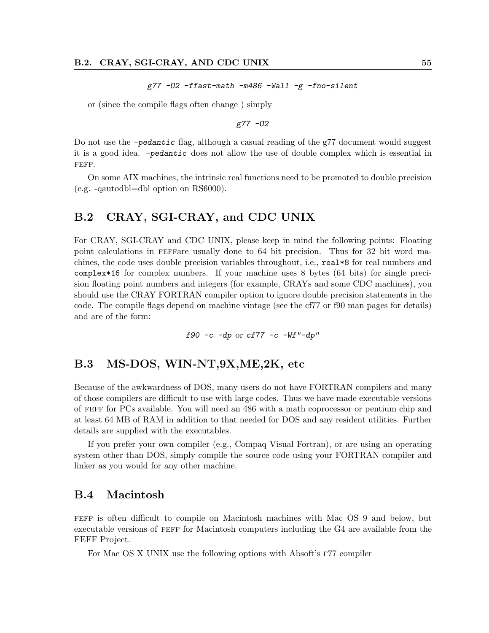g77 -O2 -ffast-math -m486 -Wall -g -fno-silent

or (since the compile flags often change ) simply

g77 -O2

Do not use the -pedantic flag, although a casual reading of the g77 document would suggest it is a good idea. -pedantic does not allow the use of double complex which is essential in FEFF.

On some AIX machines, the intrinsic real functions need to be promoted to double precision (e.g. -qautodbl=dbl option on RS6000).

### <span id="page-59-0"></span>B.2 CRAY, SGI-CRAY, and CDC UNIX

For CRAY, SGI-CRAY and CDC UNIX, please keep in mind the following points: Floating point calculations in feffare usually done to 64 bit precision. Thus for 32 bit word machines, the code uses double precision variables throughout, i.e., real\*8 for real numbers and complex\*16 for complex numbers. If your machine uses 8 bytes (64 bits) for single precision floating point numbers and integers (for example, CRAYs and some CDC machines), you should use the CRAY FORTRAN compiler option to ignore double precision statements in the code. The compile flags depend on machine vintage (see the cf77 or f90 man pages for details) and are of the form:

f90 -c -dp or cf77 -c - $Wf''$ -dp"

### <span id="page-59-1"></span>B.3 MS-DOS, WIN-NT,9X,ME,2K, etc

Because of the awkwardness of DOS, many users do not have FORTRAN compilers and many of those compilers are difficult to use with large codes. Thus we have made executable versions of feff for PCs available. You will need an 486 with a math coprocessor or pentium chip and at least 64 MB of RAM in addition to that needed for DOS and any resident utilities. Further details are supplied with the executables.

If you prefer your own compiler (e.g., Compaq Visual Fortran), or are using an operating system other than DOS, simply compile the source code using your FORTRAN compiler and linker as you would for any other machine.

### <span id="page-59-2"></span>B.4 Macintosh

feff is often difficult to compile on Macintosh machines with Mac OS 9 and below, but executable versions of FEFF for Macintosh computers including the G4 are available from the FEFF Project.

For Mac OS X UNIX use the following options with Absoft's F77 compiler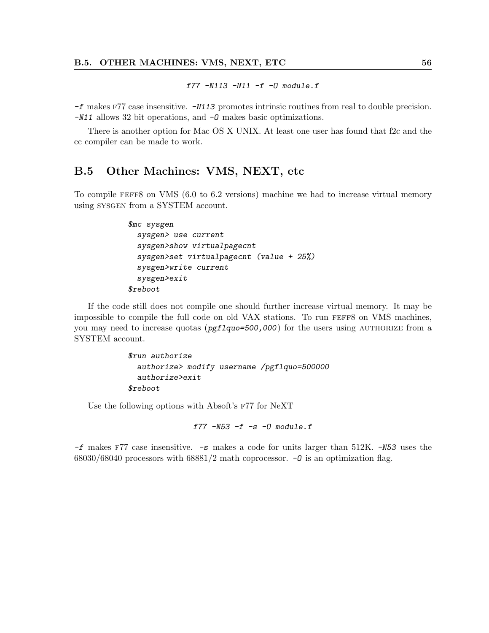f77  $-N113 - N11 - f - D$  module.f

-f makes f77 case insensitive. -N113 promotes intrinsic routines from real to double precision. -N11 allows 32 bit operations, and -O makes basic optimizations.

There is another option for Mac OS X UNIX. At least one user has found that f2c and the cc compiler can be made to work.

## <span id="page-60-0"></span>B.5 Other Machines: VMS, NEXT, etc

To compile feff8 on VMS (6.0 to 6.2 versions) machine we had to increase virtual memory using sysgen from a SYSTEM account.

```
$mc sysgen
 sysgen> use current
 sysgen>show virtualpagecnt
 sysgen>set virtualpagecnt (value + 25%)
 sysgen>write current
 sysgen>exit
$reboot
```
If the code still does not compile one should further increase virtual memory. It may be impossible to compile the full code on old VAX stations. To run FEFF8 on VMS machines, you may need to increase quotas ( $pf1quo=500,000$ ) for the users using AUTHORIZE from a SYSTEM account.

```
$run authorize
 authorize> modify username /pgflquo=500000
 authorize>exit
$reboot
```
Use the following options with Absoft's F77 for NeXT

f77  $-N53 - f - s - 0$  module.f

 $-f$  makes F77 case insensitive.  $-s$  makes a code for units larger than 512K.  $-N53$  uses the 68030/68040 processors with 68881/2 math coprocessor.  $-0$  is an optimization flag.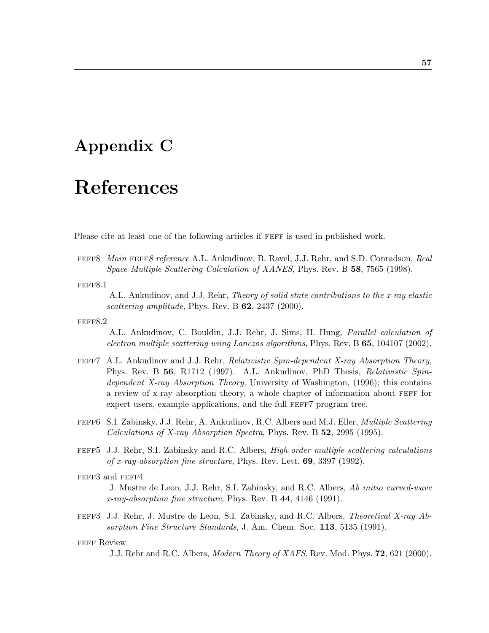# <span id="page-61-0"></span>Appendix C

# References

Please cite at least one of the following articles if FEFF is used in published work.

FEFF8 Main FEFF8 reference A.L. Ankudinov, B. Ravel, J.J. Rehr, and S.D. Conradson, Real Space Multiple Scattering Calculation of XANES, Phys. Rev. B 58, 7565 (1998).

#### FEFF8.1

A.L. Ankudinov, and J.J. Rehr, Theory of solid state contributions to the x-ray elastic scattering amplitude, Phys. Rev. B  $62$ , 2437 (2000).

#### FEFF8.2

A.L. Ankudinov, C. Bouldin, J.J. Rehr, J. Sims, H. Hung, Parallel calculation of electron multiple scattering using Lanczos algorithms, Phys. Rev.  $B\,65$ , 104107 (2002).

- feff7 A.L. Ankudinov and J.J. Rehr, Relativistic Spin-dependent X-ray Absorption Theory, Phys. Rev. B 56, R1712 (1997). A.L. Ankudinov, PhD Thesis, Relativistic Spindependent X-ray Absorption Theory, University of Washington, (1996); this contains a review of x-ray absorption theory, a whole chapter of information about FEFF for expert users, example applications, and the full FEFF7 program tree.
- FEFF6 S.I. Zabinsky, J.J. Rehr, A. Ankudinov, R.C. Albers and M.J. Eller, *Multiple Scattering* Calculations of X-ray Absorption Spectra, Phys. Rev. B 52, 2995 (1995).
- feff5 J.J. Rehr, S.I. Zabinsky and R.C. Albers, High-order multiple scattering calculations of x-ray-absorption fine structure, Phys. Rev. Lett. 69, 3397 (1992).

#### FEFF3 and FEFF4

J. Mustre de Leon, J.J. Rehr, S.I. Zabinsky, and R.C. Albers, Ab initio curved-wave  $x$ -ray-absorption fine structure, Phys. Rev. B 44, 4146 (1991).

feff3 J.J. Rehr, J. Mustre de Leon, S.I. Zabinsky, and R.C. Albers, Theoretical X-ray Absorption Fine Structure Standards, J. Am. Chem. Soc. 113, 5135 (1991).

#### FEFF Review

J.J. Rehr and R.C. Albers, Modern Theory of XAFS, Rev. Mod. Phys. 72, 621 (2000).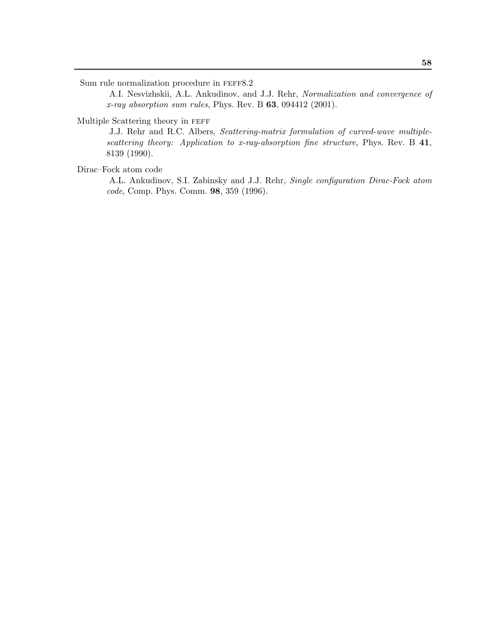Sum rule normalization procedure in FEFF8.2

A.I. Nesvizhskii, A.L. Ankudinov, and J.J. Rehr, Normalization and convergence of x-ray absorption sum rules, Phys. Rev. B  $63$ , 094412 (2001).

#### Multiple Scattering theory in feff

J.J. Rehr and R.C. Albers, Scattering-matrix formulation of curved-wave multiplescattering theory: Application to x-ray-absorption fine structure, Phys. Rev. B 41, 8139 (1990).

#### Dirac–Fock atom code

A.L. Ankudinov, S.I. Zabinsky and J.J. Rehr, Single configuration Dirac-Fock atom code, Comp. Phys. Comm. 98, 359 (1996).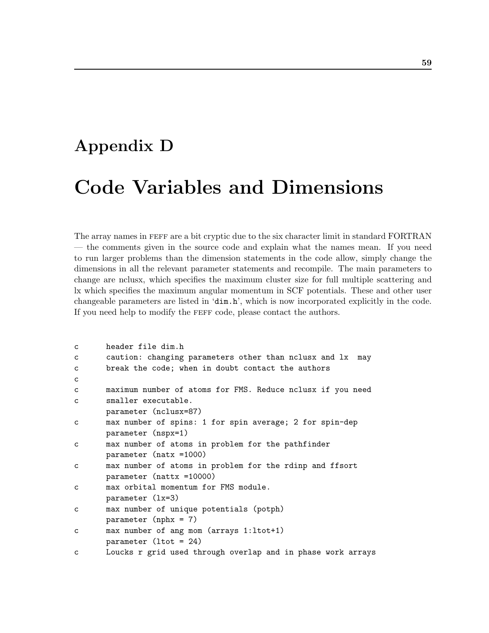# <span id="page-63-0"></span>Appendix D

# Code Variables and Dimensions

The array names in FEFF are a bit cryptic due to the six character limit in standard FORTRAN — the comments given in the source code and explain what the names mean. If you need to run larger problems than the dimension statements in the code allow, simply change the dimensions in all the relevant parameter statements and recompile. The main parameters to change are nclusx, which specifies the maximum cluster size for full multiple scattering and lx which specifies the maximum angular momentum in SCF potentials. These and other user changeable parameters are listed in 'dim.h', which is now incorporated explicitly in the code. If you need help to modify the feff code, please contact the authors.

```
c header file dim.h
c caution: changing parameters other than nclusx and lx may
c break the code; when in doubt contact the authors
c
c maximum number of atoms for FMS. Reduce nclusx if you need
c smaller executable.
      parameter (nclusx=87)
c max number of spins: 1 for spin average; 2 for spin-dep
      parameter (nspx=1)
c max number of atoms in problem for the pathfinder
      parameter (natx =1000)
c max number of atoms in problem for the rdinp and ffsort
      parameter (nattx =10000)
c max orbital momentum for FMS module.
      parameter (lx=3)
c max number of unique potentials (potph)
      parameter (nphx = 7)
c max number of ang mom (arrays 1:ltot+1)
      parameter (ltot = 24)
c Loucks r grid used through overlap and in phase work arrays
```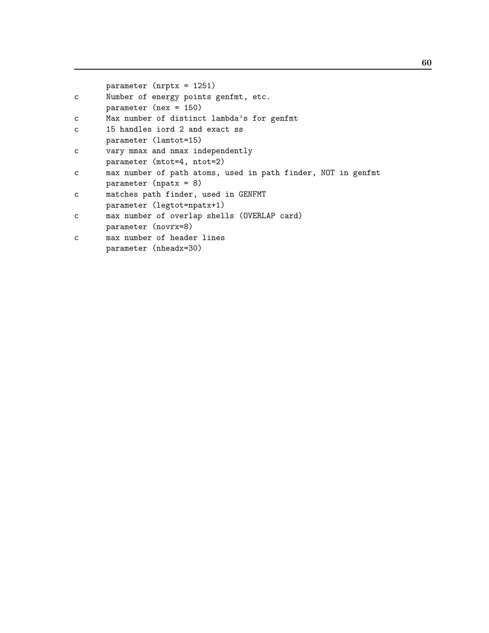```
parameter (nrptx = 1251)
c Number of energy points genfmt, etc.
      parameter (nex = 150)
c Max number of distinct lambda's for genfmt
c 15 handles iord 2 and exact ss
      parameter (lamtot=15)
c vary mmax and nmax independently
      parameter (mtot=4, ntot=2)
c max number of path atoms, used in path finder, NOT in genfmt
      parameter (npatx = 8)
c matches path finder, used in GENFMT
      parameter (legtot=npatx+1)
c max number of overlap shells (OVERLAP card)
      parameter (novrx=8)
c max number of header lines
      parameter (nheadx=30)
```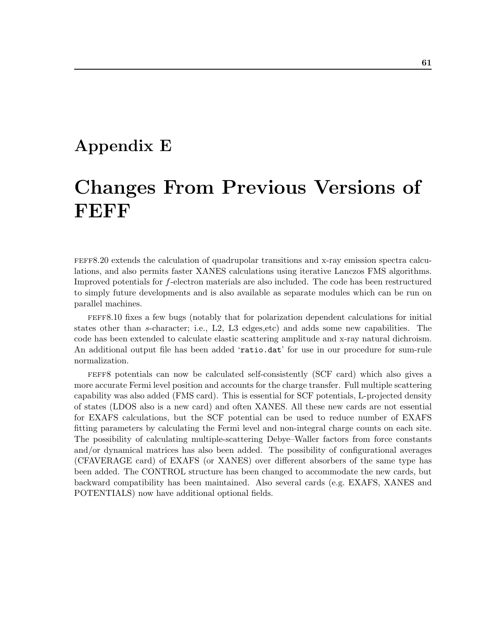# <span id="page-65-0"></span>Appendix E

# Changes From Previous Versions of FEFF

feff8.20 extends the calculation of quadrupolar transitions and x-ray emission spectra calculations, and also permits faster XANES calculations using iterative Lanczos FMS algorithms. Improved potentials for f-electron materials are also included. The code has been restructured to simply future developments and is also available as separate modules which can be run on parallel machines.

feff8.10 fixes a few bugs (notably that for polarization dependent calculations for initial states other than s-character; i.e., L2, L3 edges,etc) and adds some new capabilities. The code has been extended to calculate elastic scattering amplitude and x-ray natural dichroism. An additional output file has been added 'ratio.dat' for use in our procedure for sum-rule normalization.

feff8 potentials can now be calculated self-consistently (SCF card) which also gives a more accurate Fermi level position and accounts for the charge transfer. Full multiple scattering capability was also added (FMS card). This is essential for SCF potentials, L-projected density of states (LDOS also is a new card) and often XANES. All these new cards are not essential for EXAFS calculations, but the SCF potential can be used to reduce number of EXAFS fitting parameters by calculating the Fermi level and non-integral charge counts on each site. The possibility of calculating multiple-scattering Debye–Waller factors from force constants and/or dynamical matrices has also been added. The possibility of configurational averages (CFAVERAGE card) of EXAFS (or XANES) over different absorbers of the same type has been added. The CONTROL structure has been changed to accommodate the new cards, but backward compatibility has been maintained. Also several cards (e.g. EXAFS, XANES and POTENTIALS) now have additional optional fields.